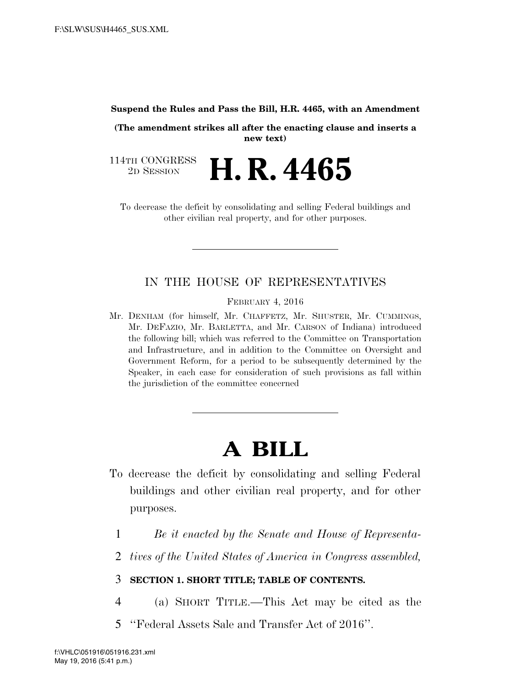#### **Suspend the Rules and Pass the Bill, H.R. 4465, with an Amendment**

**(The amendment strikes all after the enacting clause and inserts a new text)** 

114TH CONGRESS<br>2D SESSION 2D SESSION **H. R. 4465** 

To decrease the deficit by consolidating and selling Federal buildings and other civilian real property, and for other purposes.

# IN THE HOUSE OF REPRESENTATIVES

FEBRUARY 4, 2016

Mr. DENHAM (for himself, Mr. CHAFFETZ, Mr. SHUSTER, Mr. CUMMINGS, Mr. DEFAZIO, Mr. BARLETTA, and Mr. CARSON of Indiana) introduced the following bill; which was referred to the Committee on Transportation and Infrastructure, and in addition to the Committee on Oversight and Government Reform, for a period to be subsequently determined by the Speaker, in each case for consideration of such provisions as fall within the jurisdiction of the committee concerned

# **A BILL**

- To decrease the deficit by consolidating and selling Federal buildings and other civilian real property, and for other purposes.
	- 1 *Be it enacted by the Senate and House of Representa-*
	- 2 *tives of the United States of America in Congress assembled,*

# 3 **SECTION 1. SHORT TITLE; TABLE OF CONTENTS.**

- 4 (a) SHORT TITLE.—This Act may be cited as the
- 5 ''Federal Assets Sale and Transfer Act of 2016''.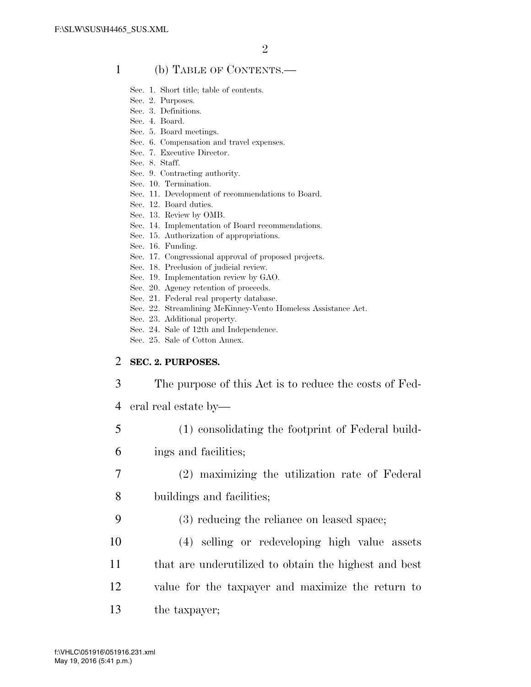#### 1 (b) TABLE OF CONTENTS.—

- Sec. 1. Short title; table of contents.
- Sec. 2. Purposes.
- Sec. 3. Definitions.
- Sec. 4. Board.
- Sec. 5. Board meetings.
- Sec. 6. Compensation and travel expenses.
- Sec. 7. Executive Director.
- Sec. 8. Staff.
- Sec. 9. Contracting authority.
- Sec. 10. Termination.
- Sec. 11. Development of recommendations to Board.
- Sec. 12. Board duties.
- Sec. 13. Review by OMB.
- Sec. 14. Implementation of Board recommendations.
- Sec. 15. Authorization of appropriations.
- Sec. 16. Funding.
- Sec. 17. Congressional approval of proposed projects.
- Sec. 18. Preclusion of judicial review.
- Sec. 19. Implementation review by GAO.
- Sec. 20. Agency retention of proceeds.
- Sec. 21. Federal real property database.
- Sec. 22. Streamlining McKinney-Vento Homeless Assistance Act.
- Sec. 23. Additional property.
- Sec. 24. Sale of 12th and Independence.
- Sec. 25. Sale of Cotton Annex.

#### 2 **SEC. 2. PURPOSES.**

3 The purpose of this Act is to reduce the costs of Fed-

- 4 eral real estate by—
- 5 (1) consolidating the footprint of Federal build-
- 6 ings and facilities;
- 7 (2) maximizing the utilization rate of Federal 8 buildings and facilities;
- 9 (3) reducing the reliance on leased space;
- 10 (4) selling or redeveloping high value assets
- 11 that are underutilized to obtain the highest and best
- 12 value for the taxpayer and maximize the return to
- 13 the taxpayer;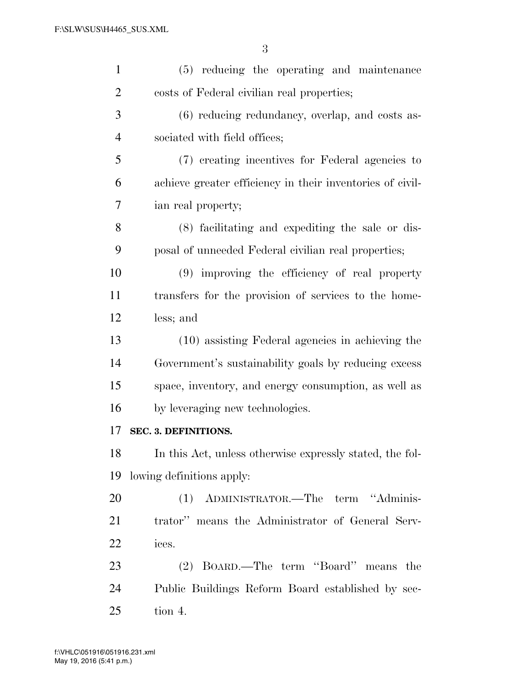| $\mathbf{1}$   | (5) reducing the operating and maintenance                |
|----------------|-----------------------------------------------------------|
| $\overline{2}$ | costs of Federal civilian real properties;                |
| 3              | (6) reducing redundancy, overlap, and costs as-           |
| $\overline{4}$ | sociated with field offices;                              |
| 5              | (7) creating incentives for Federal agencies to           |
| 6              | achieve greater efficiency in their inventories of civil- |
| 7              | ian real property;                                        |
| 8              | (8) facilitating and expediting the sale or dis-          |
| 9              | posal of unneeded Federal civilian real properties;       |
| 10             | (9) improving the efficiency of real property             |
| 11             | transfers for the provision of services to the home-      |
| 12             | less; and                                                 |
| 13             | (10) assisting Federal agencies in achieving the          |
| 14             | Government's sustainability goals by reducing excess      |
| 15             | space, inventory, and energy consumption, as well as      |
| 16             | by leveraging new technologies.                           |
| 17             | <b>SEC. 3. DEFINITIONS.</b>                               |
| 18             | In this Act, unless otherwise expressly stated, the fol-  |
| 19             | lowing definitions apply:                                 |
| 20             | (1) ADMINISTRATOR.—The term "Adminis-                     |
| 21             | trator" means the Administrator of General Serv-          |
| <u>22</u>      | ices.                                                     |
| 23             | (2) BOARD.—The term "Board" means the                     |
| 24             | Public Buildings Reform Board established by sec-         |
| 25             | tion 4.                                                   |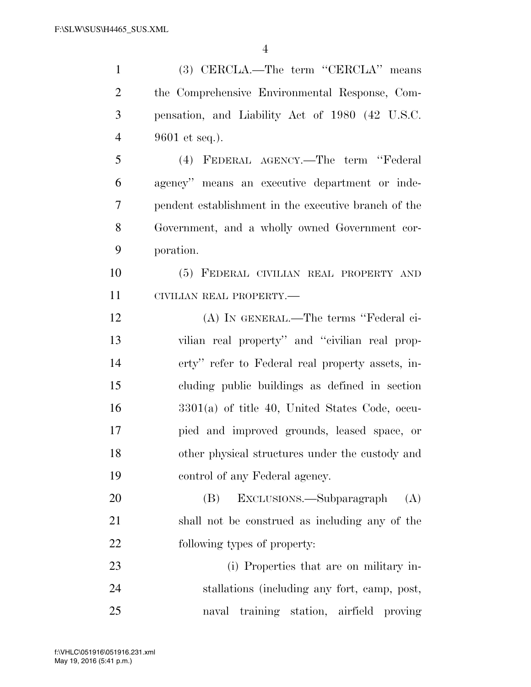| $\mathbf{1}$   | (3) CERCLA.—The term "CERCLA" means                  |
|----------------|------------------------------------------------------|
| $\overline{2}$ | the Comprehensive Environmental Response, Com-       |
| 3              | pensation, and Liability Act of 1980 (42 U.S.C.      |
| $\overline{4}$ | 9601 et seq.).                                       |
| 5              | (4) FEDERAL AGENCY.—The term "Federal                |
| 6              | agency" means an executive department or inde-       |
| $\tau$         | pendent establishment in the executive branch of the |
| 8              | Government, and a wholly owned Government cor-       |
| 9              | poration.                                            |
| 10             | (5) FEDERAL CIVILIAN REAL PROPERTY AND               |
| 11             | CIVILIAN REAL PROPERTY.-                             |
| 12             | (A) IN GENERAL.—The terms "Federal ci-               |
| 13             | vilian real property" and "civilian real prop-       |
| 14             | erty" refer to Federal real property assets, in-     |
| 15             | cluding public buildings as defined in section       |
| 16             | $3301(a)$ of title 40, United States Code, occu-     |
| 17             | pied and improved grounds, leased space, or          |
| 18             | other physical structures under the custody and      |
| 19             | control of any Federal agency.                       |
| 20             | EXCLUSIONS.—Subparagraph<br>(B)<br>(A)               |
| 21             | shall not be construed as including any of the       |
| 22             | following types of property:                         |
| 23             | (i) Properties that are on military in-              |
| 24             | stallations (including any fort, camp, post,         |
| 25             | naval training station, airfield proving             |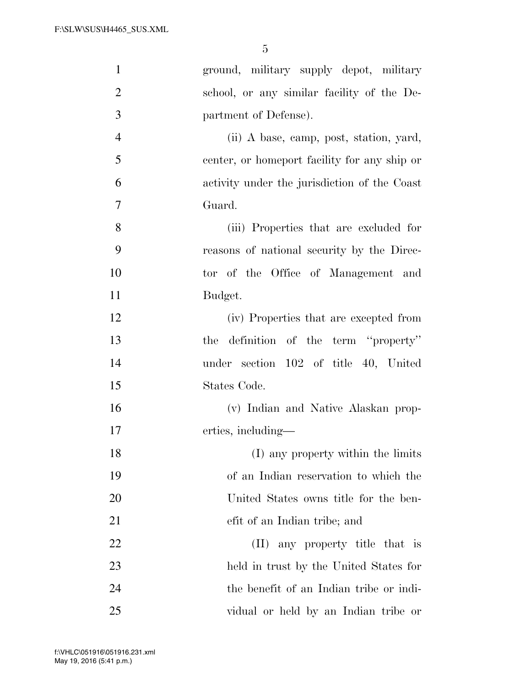| $\mathbf{1}$   | ground, military supply depot, military      |
|----------------|----------------------------------------------|
| $\overline{2}$ | school, or any similar facility of the De-   |
| 3              | partment of Defense).                        |
| $\overline{4}$ | (ii) A base, camp, post, station, yard,      |
| 5              | center, or homeport facility for any ship or |
| 6              | activity under the jurisdiction of the Coast |
| 7              | Guard.                                       |
| 8              | (iii) Properties that are excluded for       |
| 9              | reasons of national security by the Direc-   |
| 10             | tor of the Office of Management and          |
| 11             | Budget.                                      |
| 12             | (iv) Properties that are excepted from       |
| 13             | definition of the term "property"<br>the     |
| 14             | under section 102 of title 40, United        |
| 15             | States Code.                                 |
| 16             | (v) Indian and Native Alaskan prop-          |
| 17             | erties, including—                           |
| 18             | (I) any property within the limits           |
| 19             | of an Indian reservation to which the        |
| 20             | United States owns title for the ben-        |
| 21             | efit of an Indian tribe; and                 |
| 22             | any property title that is<br>(II)           |
| 23             | held in trust by the United States for       |
| 24             | the benefit of an Indian tribe or indi-      |
| 25             | vidual or held by an Indian tribe or         |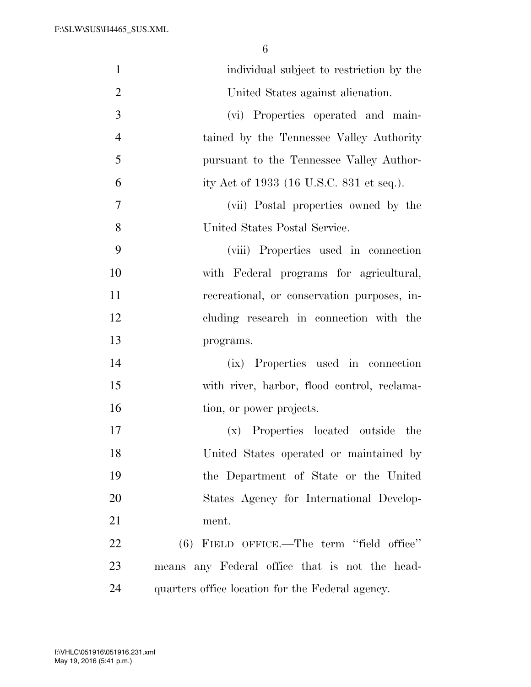| $\mathbf{1}$   | individual subject to restriction by the            |
|----------------|-----------------------------------------------------|
| $\overline{2}$ | United States against alienation.                   |
| 3              | (vi) Properties operated and main-                  |
| $\overline{4}$ | tained by the Tennessee Valley Authority            |
| 5              | pursuant to the Tennessee Valley Author-            |
| 6              | ity Act of 1933 (16 U.S.C. 831 et seq.).            |
| 7              | (vii) Postal properties owned by the                |
| 8              | United States Postal Service.                       |
| 9              | (viii) Properties used in connection                |
| 10             | with Federal programs for agricultural,             |
| 11             | recreational, or conservation purposes, in-         |
| 12             | cluding research in connection with the             |
| 13             | programs.                                           |
| 14             | (ix) Properties used in connection                  |
| 15             | with river, harbor, flood control, reclama-         |
| 16             | tion, or power projects.                            |
| 17             | Properties located outside<br>the<br>$(\mathbf{x})$ |
| 18             | United States operated or maintained by             |
| 19             | the Department of State or the United               |
| 20             | States Agency for International Develop-            |
| 21             | ment.                                               |
| 22             | $(6)$ FIELD OFFICE.—The term "field office"         |
| 23             | means any Federal office that is not the head-      |
| 24             | quarters office location for the Federal agency.    |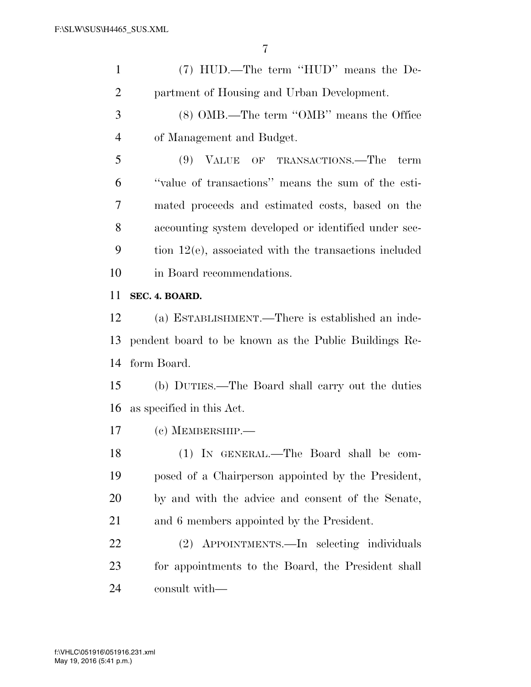| $\mathbf{1}$   | (7) HUD.—The term "HUD" means the De-                    |
|----------------|----------------------------------------------------------|
| $\overline{2}$ | partment of Housing and Urban Development.               |
| 3              | (8) OMB.—The term "OMB" means the Office                 |
| $\overline{4}$ | of Management and Budget.                                |
| 5              | (9) VALUE OF TRANSACTIONS.—The<br>term                   |
| 6              | "value of transactions" means the sum of the esti-       |
| 7              | mated proceeds and estimated costs, based on the         |
| 8              | accounting system developed or identified under sec-     |
| 9              | tion $12(e)$ , associated with the transactions included |
| 10             | in Board recommendations.                                |
| 11             | SEC. 4. BOARD.                                           |
| 12             | (a) ESTABLISHMENT.—There is established an inde-         |
|                |                                                          |
| 13             | pendent board to be known as the Public Buildings Re-    |
| 14             | form Board.                                              |
| 15             | (b) DUTIES.—The Board shall carry out the duties         |
| 16             | as specified in this Act.                                |
| 17             | $(c)$ MEMBERSHIP.—                                       |
| 18             | (1) IN GENERAL.—The Board shall be com-                  |
| 19             | posed of a Chairperson appointed by the President,       |
| 20             | by and with the advice and consent of the Senate,        |
| 21             | and 6 members appointed by the President.                |
| 22             | (2) APPOINTMENTS.—In selecting individuals               |
| 23             | for appointments to the Board, the President shall       |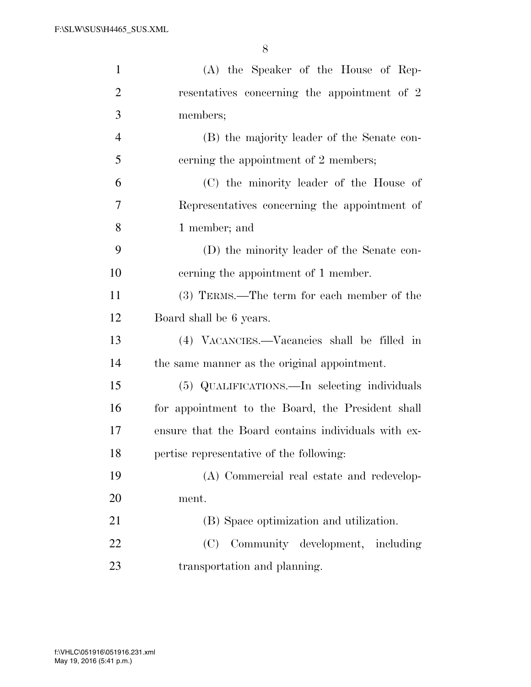| $\mathbf{1}$   | (A) the Speaker of the House of Rep-                |
|----------------|-----------------------------------------------------|
| $\overline{2}$ | resentatives concerning the appointment of 2        |
| 3              | members;                                            |
| $\overline{4}$ | (B) the majority leader of the Senate con-          |
| 5              | cerning the appointment of 2 members;               |
| 6              | (C) the minority leader of the House of             |
| 7              | Representatives concerning the appointment of       |
| 8              | 1 member; and                                       |
| 9              | (D) the minority leader of the Senate con-          |
| 10             | cerning the appointment of 1 member.                |
| 11             | (3) TERMS.—The term for each member of the          |
| 12             | Board shall be 6 years.                             |
| 13             | (4) VACANCIES.—Vacancies shall be filled in         |
| 14             | the same manner as the original appointment.        |
| 15             | (5) QUALIFICATIONS.—In selecting individuals        |
| 16             | for appointment to the Board, the President shall   |
| 17             | ensure that the Board contains individuals with ex- |
| 18             | pertise representative of the following:            |
| 19             | (A) Commercial real estate and redevelop-           |
| 20             | ment.                                               |
| 21             | (B) Space optimization and utilization.             |
| 22             | Community development, including<br>(C)             |
| 23             | transportation and planning.                        |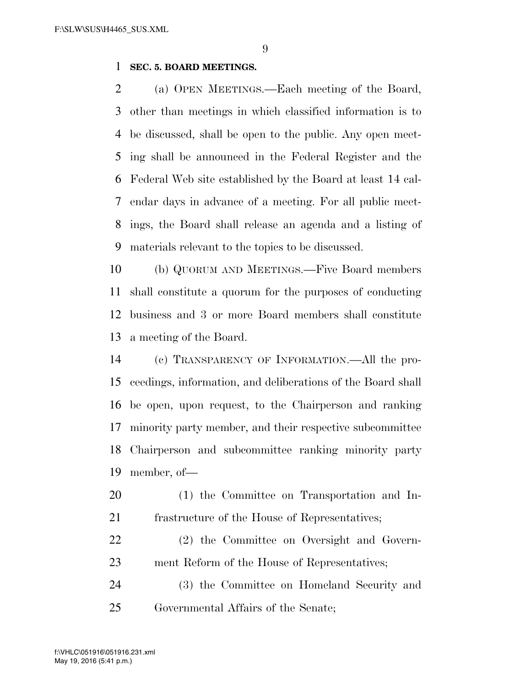#### **SEC. 5. BOARD MEETINGS.**

 (a) OPEN MEETINGS.—Each meeting of the Board, other than meetings in which classified information is to be discussed, shall be open to the public. Any open meet- ing shall be announced in the Federal Register and the Federal Web site established by the Board at least 14 cal- endar days in advance of a meeting. For all public meet- ings, the Board shall release an agenda and a listing of materials relevant to the topics to be discussed.

 (b) QUORUM AND MEETINGS.—Five Board members shall constitute a quorum for the purposes of conducting business and 3 or more Board members shall constitute a meeting of the Board.

 (c) TRANSPARENCY OF INFORMATION.—All the pro- ceedings, information, and deliberations of the Board shall be open, upon request, to the Chairperson and ranking minority party member, and their respective subcommittee Chairperson and subcommittee ranking minority party member, of—

- (1) the Committee on Transportation and In-frastructure of the House of Representatives;
- (2) the Committee on Oversight and Govern-ment Reform of the House of Representatives;
- (3) the Committee on Homeland Security and Governmental Affairs of the Senate;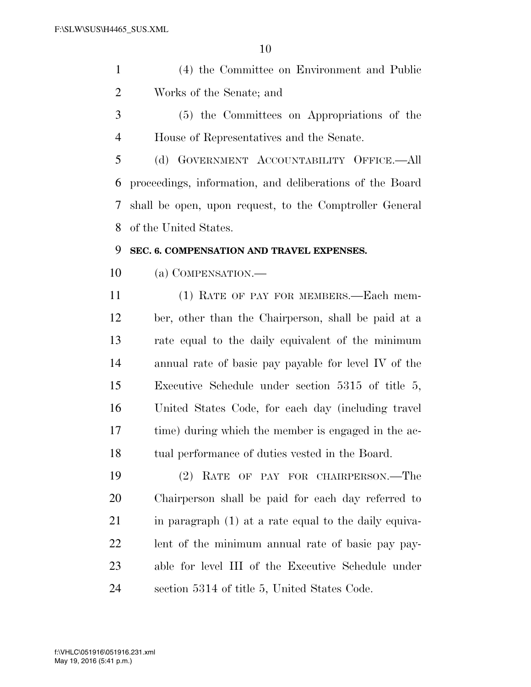- (4) the Committee on Environment and Public Works of the Senate; and
- (5) the Committees on Appropriations of the House of Representatives and the Senate.

 (d) GOVERNMENT ACCOUNTABILITY OFFICE.—All proceedings, information, and deliberations of the Board shall be open, upon request, to the Comptroller General of the United States.

### **SEC. 6. COMPENSATION AND TRAVEL EXPENSES.**

(a) COMPENSATION.—

 (1) RATE OF PAY FOR MEMBERS.—Each mem- ber, other than the Chairperson, shall be paid at a rate equal to the daily equivalent of the minimum annual rate of basic pay payable for level IV of the Executive Schedule under section 5315 of title 5, United States Code, for each day (including travel time) during which the member is engaged in the ac-tual performance of duties vested in the Board.

 (2) RATE OF PAY FOR CHAIRPERSON.—The Chairperson shall be paid for each day referred to 21 in paragraph (1) at a rate equal to the daily equiva- lent of the minimum annual rate of basic pay pay- able for level III of the Executive Schedule under section 5314 of title 5, United States Code.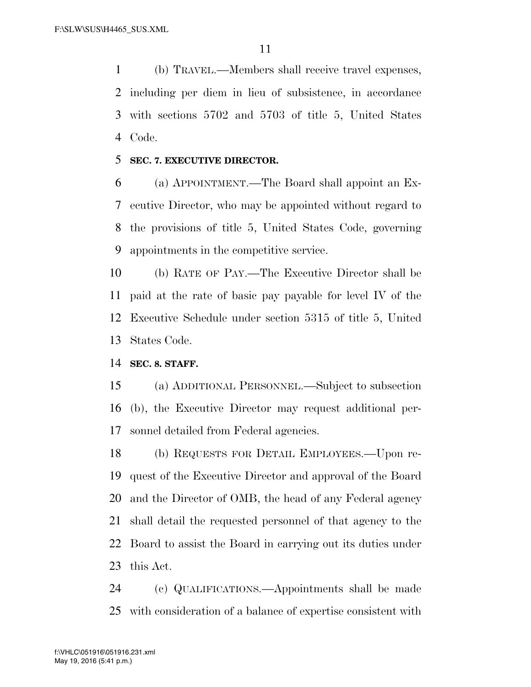(b) TRAVEL.—Members shall receive travel expenses, including per diem in lieu of subsistence, in accordance with sections 5702 and 5703 of title 5, United States Code.

#### **SEC. 7. EXECUTIVE DIRECTOR.**

 (a) APPOINTMENT.—The Board shall appoint an Ex- ecutive Director, who may be appointed without regard to the provisions of title 5, United States Code, governing appointments in the competitive service.

 (b) RATE OF PAY.—The Executive Director shall be paid at the rate of basic pay payable for level IV of the Executive Schedule under section 5315 of title 5, United States Code.

#### **SEC. 8. STAFF.**

 (a) ADDITIONAL PERSONNEL.—Subject to subsection (b), the Executive Director may request additional per-sonnel detailed from Federal agencies.

 (b) REQUESTS FOR DETAIL EMPLOYEES.—Upon re- quest of the Executive Director and approval of the Board and the Director of OMB, the head of any Federal agency shall detail the requested personnel of that agency to the Board to assist the Board in carrying out its duties under this Act.

 (c) QUALIFICATIONS.—Appointments shall be made with consideration of a balance of expertise consistent with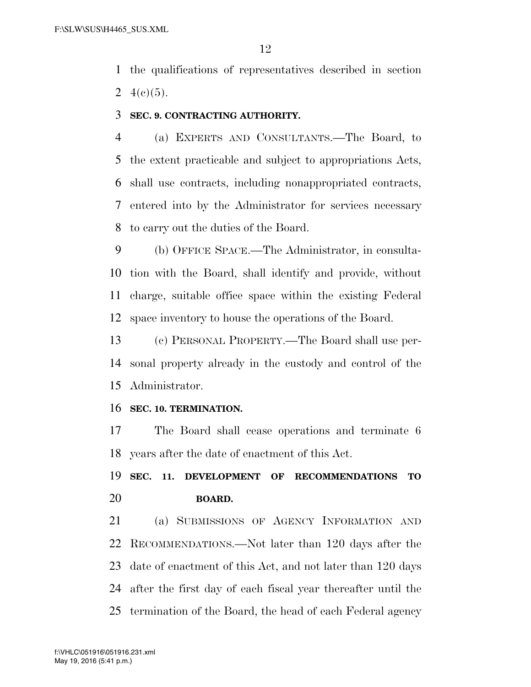the qualifications of representatives described in section 2  $4(e)(5)$ .

**SEC. 9. CONTRACTING AUTHORITY.** 

 (a) EXPERTS AND CONSULTANTS.—The Board, to the extent practicable and subject to appropriations Acts, shall use contracts, including nonappropriated contracts, entered into by the Administrator for services necessary to carry out the duties of the Board.

 (b) OFFICE SPACE.—The Administrator, in consulta- tion with the Board, shall identify and provide, without charge, suitable office space within the existing Federal space inventory to house the operations of the Board.

 (c) PERSONAL PROPERTY.—The Board shall use per- sonal property already in the custody and control of the Administrator.

#### **SEC. 10. TERMINATION.**

 The Board shall cease operations and terminate 6 years after the date of enactment of this Act.

# **SEC. 11. DEVELOPMENT OF RECOMMENDATIONS TO BOARD.**

 (a) SUBMISSIONS OF AGENCY INFORMATION AND RECOMMENDATIONS.—Not later than 120 days after the date of enactment of this Act, and not later than 120 days after the first day of each fiscal year thereafter until the termination of the Board, the head of each Federal agency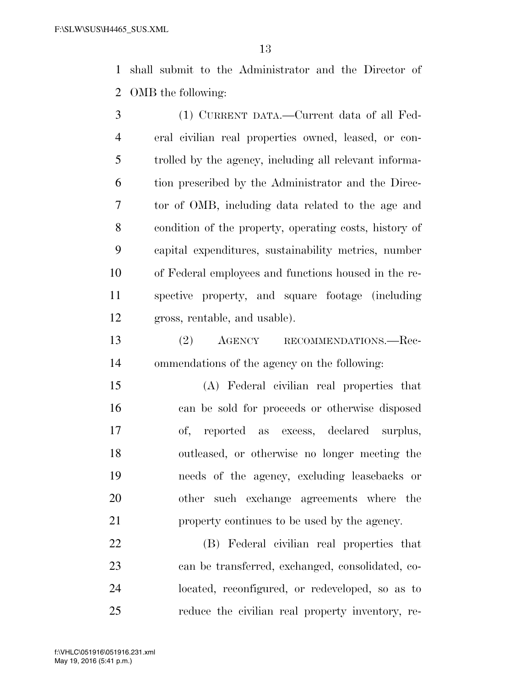shall submit to the Administrator and the Director of OMB the following:

 (1) CURRENT DATA.—Current data of all Fed- eral civilian real properties owned, leased, or con- trolled by the agency, including all relevant informa- tion prescribed by the Administrator and the Direc- tor of OMB, including data related to the age and condition of the property, operating costs, history of capital expenditures, sustainability metrics, number of Federal employees and functions housed in the re- spective property, and square footage (including gross, rentable, and usable).

 (2) AGENCY RECOMMENDATIONS.—Rec-ommendations of the agency on the following:

 (A) Federal civilian real properties that can be sold for proceeds or otherwise disposed of, reported as excess, declared surplus, outleased, or otherwise no longer meeting the needs of the agency, excluding leasebacks or other such exchange agreements where the property continues to be used by the agency.

 (B) Federal civilian real properties that can be transferred, exchanged, consolidated, co- located, reconfigured, or redeveloped, so as to reduce the civilian real property inventory, re-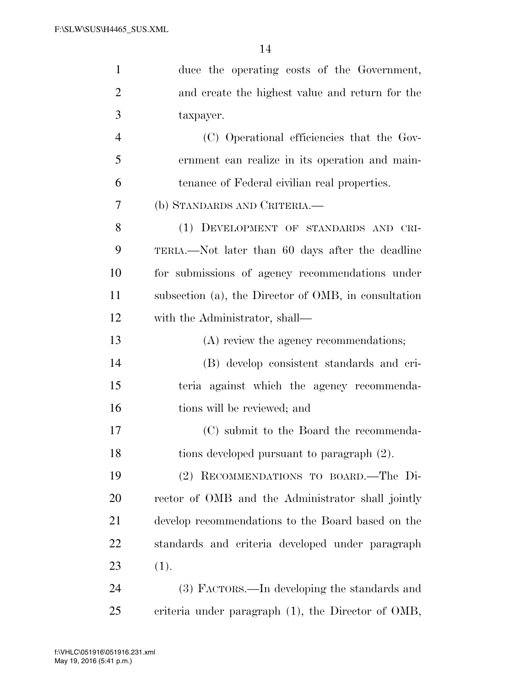| $\mathbf{1}$   | duce the operating costs of the Government,           |
|----------------|-------------------------------------------------------|
| $\overline{2}$ | and create the highest value and return for the       |
| 3              | taxpayer.                                             |
| $\overline{4}$ | (C) Operational efficiencies that the Gov-            |
| 5              | ernment can realize in its operation and main-        |
| 6              | tenance of Federal civilian real properties.          |
| 7              | (b) STANDARDS AND CRITERIA.—                          |
| 8              | (1) DEVELOPMENT OF STANDARDS AND CRI-                 |
| 9              | TERIA.—Not later than 60 days after the deadline      |
| 10             | for submissions of agency recommendations under       |
| 11             | subsection (a), the Director of OMB, in consultation  |
| 12             | with the Administrator, shall—                        |
| 13             | (A) review the agency recommendations;                |
| 14             | (B) develop consistent standards and cri-             |
| 15             | teria against which the agency recommenda-            |
| 16             | tions will be reviewed; and                           |
| 17             | (C) submit to the Board the recommenda-               |
| 18             | tions developed pursuant to paragraph (2).            |
| 19             | (2) RECOMMENDATIONS TO BOARD. The Di-                 |
| 20             | rector of OMB and the Administrator shall jointly     |
| 21             | develop recommendations to the Board based on the     |
| <u>22</u>      | standards and criteria developed under paragraph      |
| 23             | (1).                                                  |
| 24             | (3) FACTORS.—In developing the standards and          |
| 25             | criteria under paragraph $(1)$ , the Director of OMB, |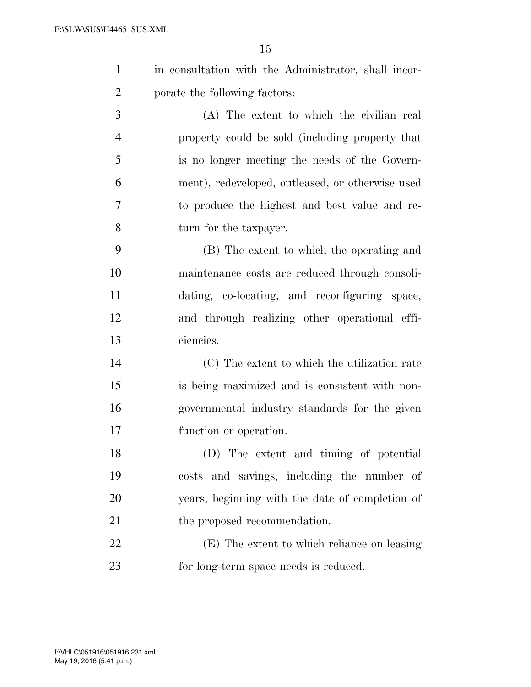|                | in consultation with the Administrator, shall incor- |
|----------------|------------------------------------------------------|
| $\overline{2}$ | porate the following factors:                        |

 (A) The extent to which the civilian real property could be sold (including property that is no longer meeting the needs of the Govern- ment), redeveloped, outleased, or otherwise used to produce the highest and best value and re-turn for the taxpayer.

 (B) The extent to which the operating and maintenance costs are reduced through consoli- dating, co-locating, and reconfiguring space, and through realizing other operational effi-ciencies.

 (C) The extent to which the utilization rate is being maximized and is consistent with non- governmental industry standards for the given function or operation.

 (D) The extent and timing of potential costs and savings, including the number of years, beginning with the date of completion of 21 the proposed recommendation.

 (E) The extent to which reliance on leasing for long-term space needs is reduced.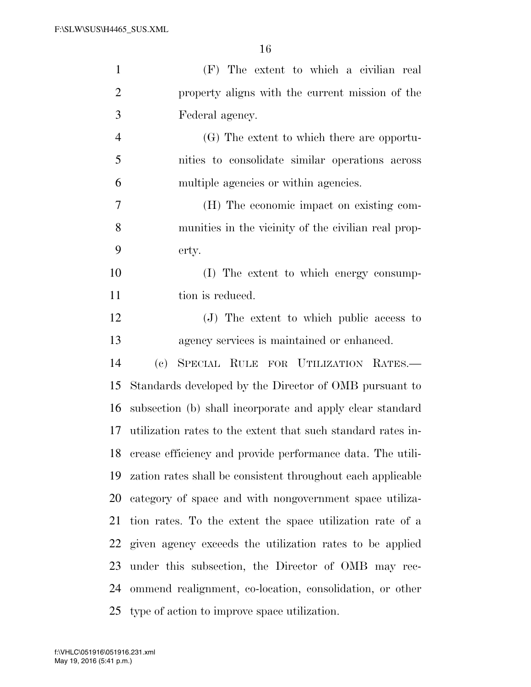| $\mathbf{1}$   | (F) The extent to which a civilian real                            |
|----------------|--------------------------------------------------------------------|
| $\overline{2}$ | property aligns with the current mission of the                    |
| 3              | Federal agency.                                                    |
| $\overline{4}$ | (G) The extent to which there are opportu-                         |
| 5              | nities to consolidate similar operations across                    |
| 6              | multiple agencies or within agencies.                              |
| 7              | (H) The economic impact on existing com-                           |
| 8              | munities in the vicinity of the civilian real prop-                |
| 9              | erty.                                                              |
| 10             | (I) The extent to which energy consump-                            |
| 11             | tion is reduced.                                                   |
| 12             | (J) The extent to which public access to                           |
| 13             | agency services is maintained or enhanced.                         |
| 14             | SPECIAL RULE FOR UTILIZATION RATES.-<br>$\left( \mathrm{e}\right)$ |
| 15             | Standards developed by the Director of OMB pursuant to             |
| 16             | subsection (b) shall incorporate and apply clear standard          |
| 17             | utilization rates to the extent that such standard rates in-       |
| 18             | crease efficiency and provide performance data. The utili-         |
| 19             | zation rates shall be consistent throughout each applicable        |
| 20             | category of space and with nongovernment space utiliza-            |
| 21             | tion rates. To the extent the space utilization rate of a          |
| 22             | given agency exceeds the utilization rates to be applied           |
| 23             | under this subsection, the Director of OMB may rec-                |
| 24             | ommend realignment, co-location, consolidation, or other           |
| 25             | type of action to improve space utilization.                       |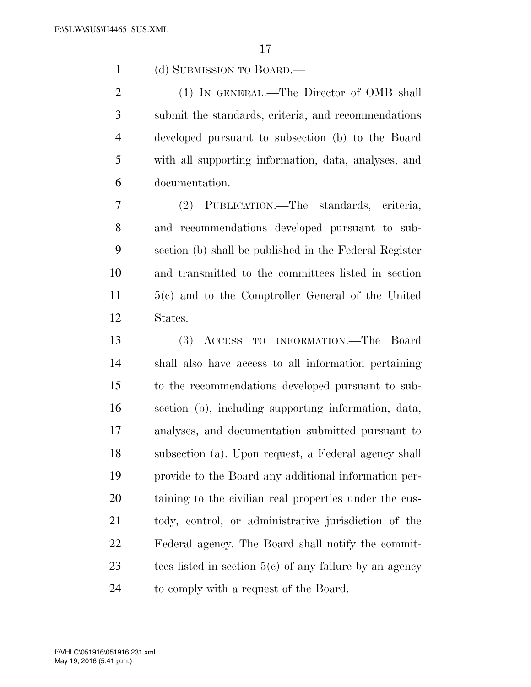(d) SUBMISSION TO BOARD.—

 (1) IN GENERAL.—The Director of OMB shall submit the standards, criteria, and recommendations developed pursuant to subsection (b) to the Board with all supporting information, data, analyses, and documentation.

 (2) PUBLICATION.—The standards, criteria, and recommendations developed pursuant to sub- section (b) shall be published in the Federal Register and transmitted to the committees listed in section 5(c) and to the Comptroller General of the United States.

 (3) ACCESS TO INFORMATION.—The Board shall also have access to all information pertaining to the recommendations developed pursuant to sub- section (b), including supporting information, data, analyses, and documentation submitted pursuant to subsection (a). Upon request, a Federal agency shall provide to the Board any additional information per- taining to the civilian real properties under the cus- tody, control, or administrative jurisdiction of the Federal agency. The Board shall notify the commit- tees listed in section 5(c) of any failure by an agency to comply with a request of the Board.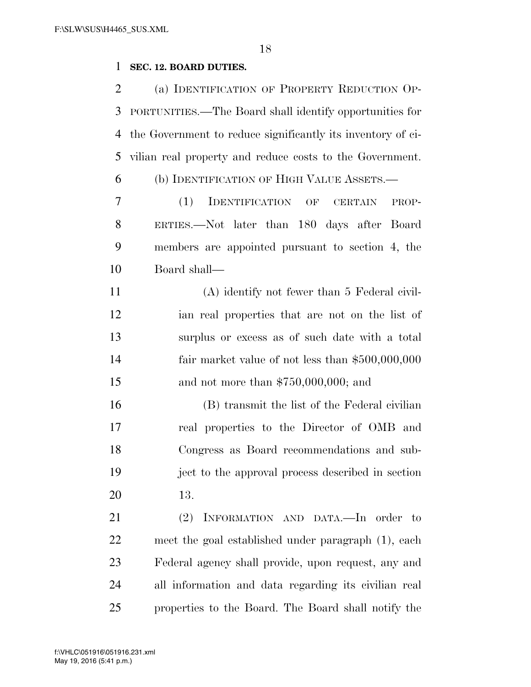# **SEC. 12. BOARD DUTIES.**

| $\overline{2}$ | (a) IDENTIFICATION OF PROPERTY REDUCTION OP-                |
|----------------|-------------------------------------------------------------|
| 3              | PORTUNITIES.—The Board shall identify opportunities for     |
| 4              | the Government to reduce significantly its inventory of ci- |
| 5              | vilian real property and reduce costs to the Government.    |
| 6              | (b) IDENTIFICATION OF HIGH VALUE ASSETS.—                   |
| 7              | (1)<br>IDENTIFICATION OF CERTAIN<br>PROP-                   |
| 8              | ERTIES.—Not later than 180 days after Board                 |
| 9              | members are appointed pursuant to section 4, the            |
| 10             | Board shall—                                                |
| 11             | (A) identify not fewer than 5 Federal civil-                |
| 12             | ian real properties that are not on the list of             |
| 13             | surplus or excess as of such date with a total              |
| 14             | fair market value of not less than $$500,000,000$           |
| 15             | and not more than $$750,000,000$ ; and                      |
| 16             | (B) transmit the list of the Federal civilian               |
| 17             | real properties to the Director of OMB and                  |
| 18             | Congress as Board recommendations and sub-                  |
| 19             | ject to the approval process described in section           |
| 20             | 13.                                                         |
| 21             | INFORMATION AND DATA.-In order to<br>(2)                    |
| 22             | meet the goal established under paragraph (1), each         |
| 23             | Federal agency shall provide, upon request, any and         |
| 24             | all information and data regarding its civilian real        |
| 25             | properties to the Board. The Board shall notify the         |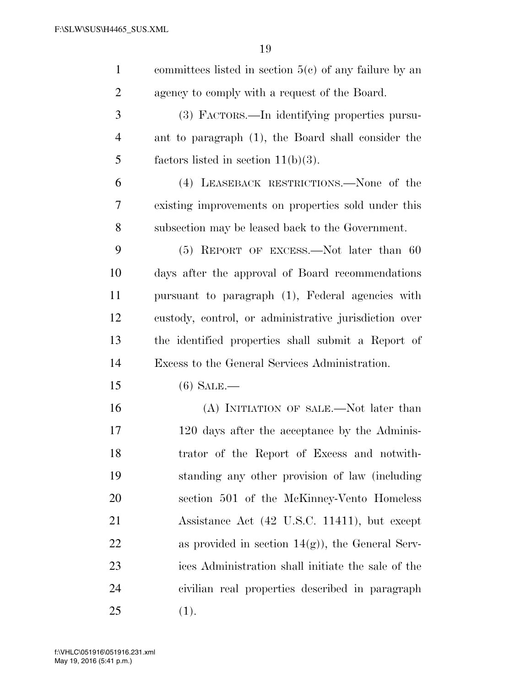| $\mathbf{1}$   | committees listed in section $5(c)$ of any failure by an |
|----------------|----------------------------------------------------------|
| $\overline{2}$ | agency to comply with a request of the Board.            |
| 3              | (3) FACTORS.—In identifying properties pursu-            |
| $\overline{4}$ | ant to paragraph (1), the Board shall consider the       |
| 5              | factors listed in section $11(b)(3)$ .                   |
| 6              | (4) LEASEBACK RESTRICTIONS.—None of the                  |
| 7              | existing improvements on properties sold under this      |
| 8              | subsection may be leased back to the Government.         |
| 9              | $(5)$ REPORT OF EXCESS.—Not later than 60                |
| 10             | days after the approval of Board recommendations         |
| 11             | pursuant to paragraph (1), Federal agencies with         |
| 12             | custody, control, or administrative jurisdiction over    |
| 13             | the identified properties shall submit a Report of       |
| 14             | Excess to the General Services Administration.           |
| 15             | $(6)$ Sale.—                                             |
| 16             | (A) INITIATION OF SALE.—Not later than                   |
| 17             | 120 days after the acceptance by the Adminis-            |
| 18             | trator of the Report of Excess and notwith-              |
| 19             | standing any other provision of law (including           |
| 20             | section 501 of the McKinney-Vento Homeless               |
| 21             | Assistance Act (42 U.S.C. 11411), but except             |
| 22             | as provided in section $14(g)$ , the General Serv-       |
| 23             | ices Administration shall initiate the sale of the       |
| 24             | civilian real properties described in paragraph          |
| 25             | (1).                                                     |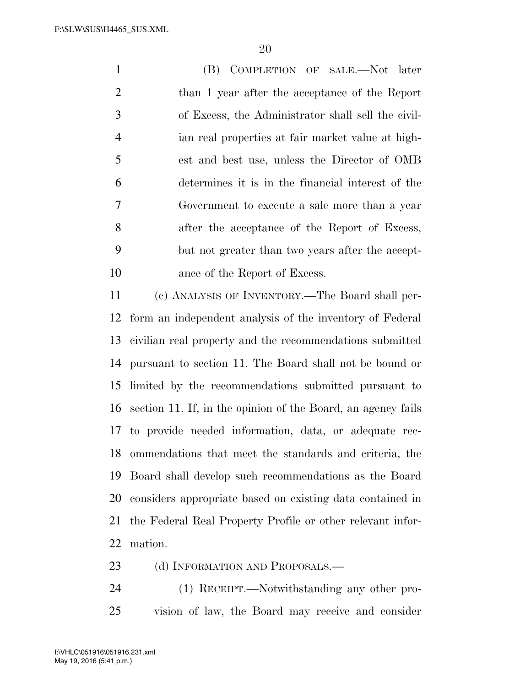(B) COMPLETION OF SALE.—Not later than 1 year after the acceptance of the Report of Excess, the Administrator shall sell the civil- ian real properties at fair market value at high- est and best use, unless the Director of OMB determines it is in the financial interest of the Government to execute a sale more than a year 8 after the acceptance of the Report of Excess, but not greater than two years after the accept-10 ance of the Report of Excess.

 (c) ANALYSIS OF INVENTORY.—The Board shall per- form an independent analysis of the inventory of Federal civilian real property and the recommendations submitted pursuant to section 11. The Board shall not be bound or limited by the recommendations submitted pursuant to section 11. If, in the opinion of the Board, an agency fails to provide needed information, data, or adequate rec- ommendations that meet the standards and criteria, the Board shall develop such recommendations as the Board considers appropriate based on existing data contained in the Federal Real Property Profile or other relevant infor-mation.

- 23 (d) INFORMATION AND PROPOSALS.—
- (1) RECEIPT.—Notwithstanding any other pro-vision of law, the Board may receive and consider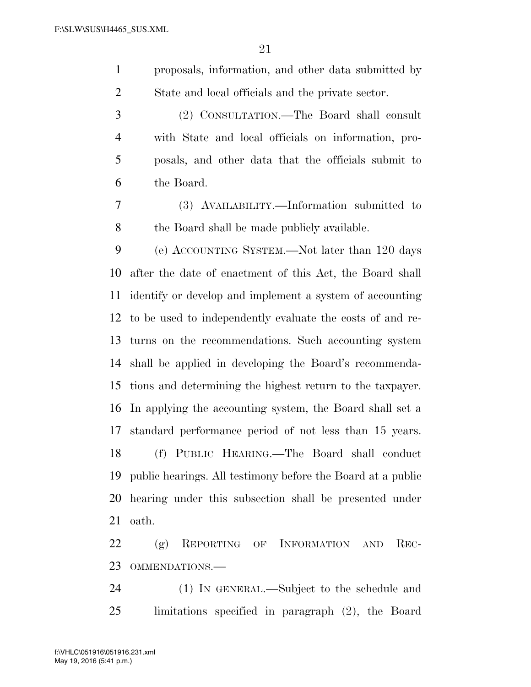proposals, information, and other data submitted by State and local officials and the private sector.

 (2) CONSULTATION.—The Board shall consult with State and local officials on information, pro- posals, and other data that the officials submit to the Board.

 (3) AVAILABILITY.—Information submitted to the Board shall be made publicly available.

 (e) ACCOUNTING SYSTEM.—Not later than 120 days after the date of enactment of this Act, the Board shall identify or develop and implement a system of accounting to be used to independently evaluate the costs of and re- turns on the recommendations. Such accounting system shall be applied in developing the Board's recommenda- tions and determining the highest return to the taxpayer. In applying the accounting system, the Board shall set a standard performance period of not less than 15 years. (f) PUBLIC HEARING.—The Board shall conduct public hearings. All testimony before the Board at a public hearing under this subsection shall be presented under oath.

 (g) REPORTING OF INFORMATION AND REC-OMMENDATIONS.—

 (1) IN GENERAL.—Subject to the schedule and limitations specified in paragraph (2), the Board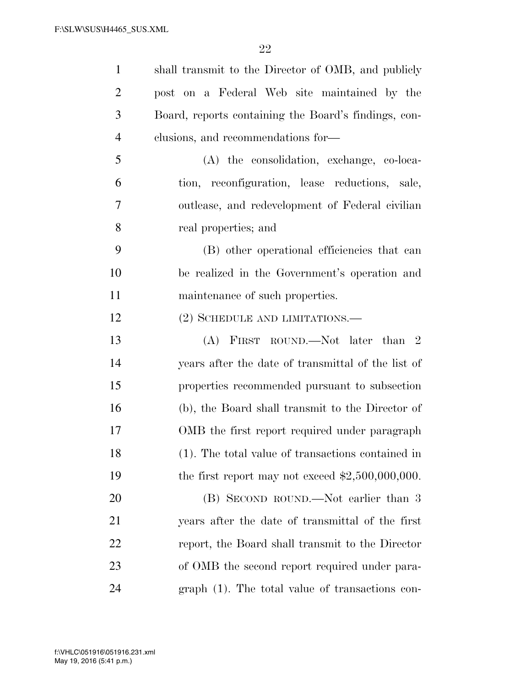| $\mathbf{1}$   | shall transmit to the Director of OMB, and publicly  |
|----------------|------------------------------------------------------|
| $\overline{2}$ | post on a Federal Web site maintained by the         |
| 3              | Board, reports containing the Board's findings, con- |
| $\overline{4}$ | clusions, and recommendations for-                   |
| 5              | (A) the consolidation, exchange, co-loca-            |
| 6              | tion, reconfiguration, lease reductions, sale,       |
| 7              | outlease, and redevelopment of Federal civilian      |
| 8              | real properties; and                                 |
| 9              | (B) other operational efficiencies that can          |
| 10             | be realized in the Government's operation and        |
| 11             | maintenance of such properties.                      |
| 12             | $(2)$ SCHEDULE AND LIMITATIONS.—                     |
| 13             | (A) FIRST ROUND.—Not later than 2                    |
| 14             | years after the date of transmittal of the list of   |
| 15             | properties recommended pursuant to subsection        |
| 16             | (b), the Board shall transmit to the Director of     |
| 17             | OMB the first report required under paragraph        |
| 18             | (1). The total value of transactions contained in    |
| 19             | the first report may not exceed $$2,500,000,000$ .   |
| 20             | (B) SECOND ROUND.—Not earlier than 3                 |
| 21             | years after the date of transmittal of the first     |
| 22             | report, the Board shall transmit to the Director     |
| 23             | of OMB the second report required under para-        |
| 24             | $graph(1)$ . The total value of transactions con-    |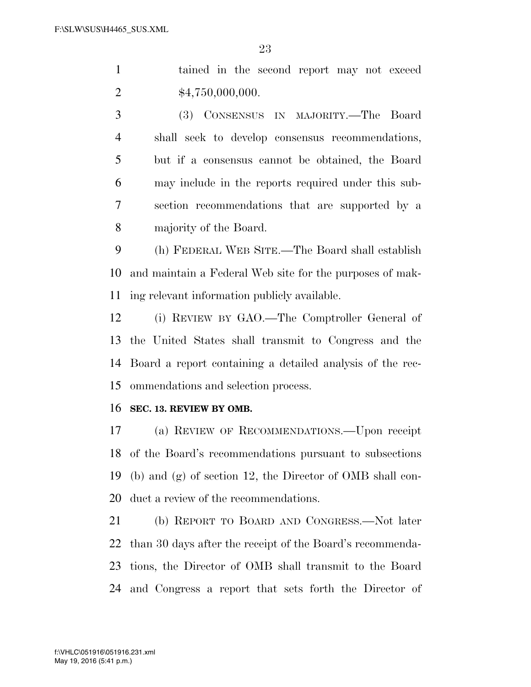tained in the second report may not exceed 2  $\text{$}4,750,000,000.$ 

 (3) CONSENSUS IN MAJORITY.—The Board shall seek to develop consensus recommendations, but if a consensus cannot be obtained, the Board may include in the reports required under this sub- section recommendations that are supported by a majority of the Board.

 (h) FEDERAL WEB SITE.—The Board shall establish and maintain a Federal Web site for the purposes of mak-ing relevant information publicly available.

 (i) REVIEW BY GAO.—The Comptroller General of the United States shall transmit to Congress and the Board a report containing a detailed analysis of the rec-ommendations and selection process.

#### **SEC. 13. REVIEW BY OMB.**

 (a) REVIEW OF RECOMMENDATIONS.—Upon receipt of the Board's recommendations pursuant to subsections (b) and (g) of section 12, the Director of OMB shall con-duct a review of the recommendations.

 (b) REPORT TO BOARD AND CONGRESS.—Not later than 30 days after the receipt of the Board's recommenda- tions, the Director of OMB shall transmit to the Board and Congress a report that sets forth the Director of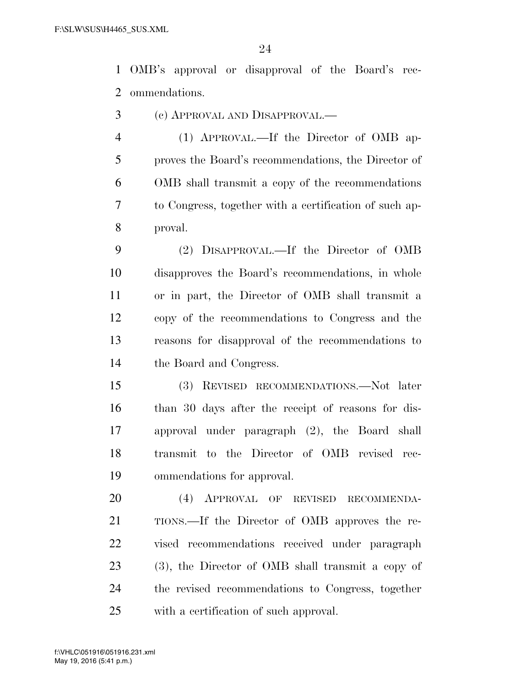OMB's approval or disapproval of the Board's rec-ommendations.

- (c) APPROVAL AND DISAPPROVAL.—
- (1) APPROVAL.—If the Director of OMB ap- proves the Board's recommendations, the Director of OMB shall transmit a copy of the recommendations to Congress, together with a certification of such ap-proval.
- (2) DISAPPROVAL.—If the Director of OMB disapproves the Board's recommendations, in whole or in part, the Director of OMB shall transmit a copy of the recommendations to Congress and the reasons for disapproval of the recommendations to the Board and Congress.
- (3) REVISED RECOMMENDATIONS.—Not later than 30 days after the receipt of reasons for dis- approval under paragraph (2), the Board shall transmit to the Director of OMB revised rec-ommendations for approval.
- (4) APPROVAL OF REVISED RECOMMENDA- TIONS.—If the Director of OMB approves the re- vised recommendations received under paragraph (3), the Director of OMB shall transmit a copy of the revised recommendations to Congress, together with a certification of such approval.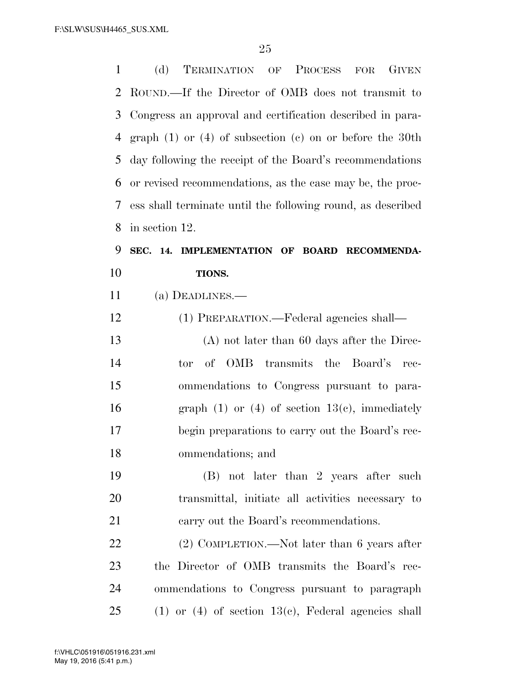| $\mathbf{1}$   | TERMINATION OF PROCESS FOR<br><b>GIVEN</b><br>(d)              |
|----------------|----------------------------------------------------------------|
| $\overline{2}$ | ROUND.—If the Director of OMB does not transmit to             |
| 3              | Congress an approval and certification described in para-      |
| 4              | graph $(1)$ or $(4)$ of subsection $(e)$ on or before the 30th |
| 5              | day following the receipt of the Board's recommendations       |
| 6              | or revised recommendations, as the case may be, the proc-      |
| 7              | ess shall terminate until the following round, as described    |
| 8              | in section 12.                                                 |
| 9              | SEC. 14. IMPLEMENTATION OF BOARD RECOMMENDA-                   |
| 10             | TIONS.                                                         |
| 11             | (a) DEADLINES.—                                                |
| 12             | (1) PREPARATION.—Federal agencies shall—                       |
| 13             | $(A)$ not later than 60 days after the Direc-                  |
| 14             | of OMB transmits the Board's<br>tor<br>rec-                    |
| 15             | ommendations to Congress pursuant to para-                     |
| 16             | graph $(1)$ or $(4)$ of section $13(e)$ , immediately          |
| 17             | begin preparations to carry out the Board's rec-               |
| 18             | ommendations; and                                              |
| 19             | (B) not later than 2 years after such                          |
| 20             | transmittal, initiate all activities necessary to              |
| 21             | carry out the Board's recommendations.                         |
| 22             | $(2)$ COMPLETION.—Not later than 6 years after                 |
| 23             | the Director of OMB transmits the Board's rec-                 |
| 24             | ommendations to Congress pursuant to paragraph                 |
| 25             | $(1)$ or $(4)$ of section 13 $(c)$ , Federal agencies shall    |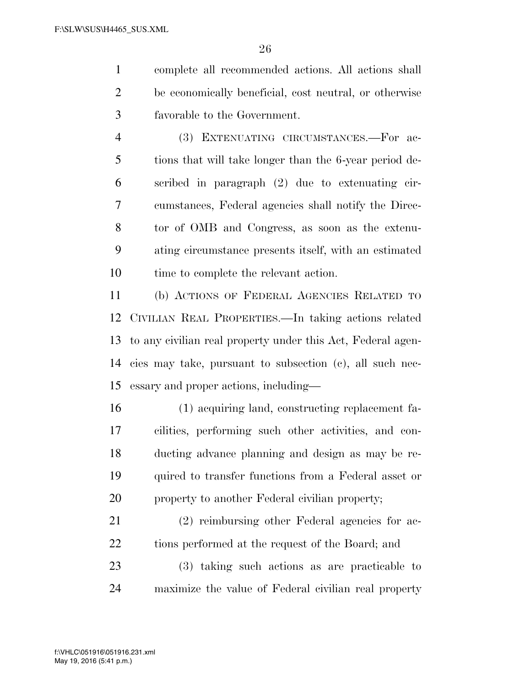complete all recommended actions. All actions shall be economically beneficial, cost neutral, or otherwise favorable to the Government.

 (3) EXTENUATING CIRCUMSTANCES.—For ac- tions that will take longer than the 6-year period de- scribed in paragraph (2) due to extenuating cir- cumstances, Federal agencies shall notify the Direc- tor of OMB and Congress, as soon as the extenu- ating circumstance presents itself, with an estimated 10 time to complete the relevant action.

 (b) ACTIONS OF FEDERAL AGENCIES RELATED TO CIVILIAN REAL PROPERTIES.—In taking actions related to any civilian real property under this Act, Federal agen- cies may take, pursuant to subsection (c), all such nec-essary and proper actions, including—

 (1) acquiring land, constructing replacement fa- cilities, performing such other activities, and con- ducting advance planning and design as may be re- quired to transfer functions from a Federal asset or 20 property to another Federal civilian property;

 (2) reimbursing other Federal agencies for ac-22 tions performed at the request of the Board; and

 (3) taking such actions as are practicable to maximize the value of Federal civilian real property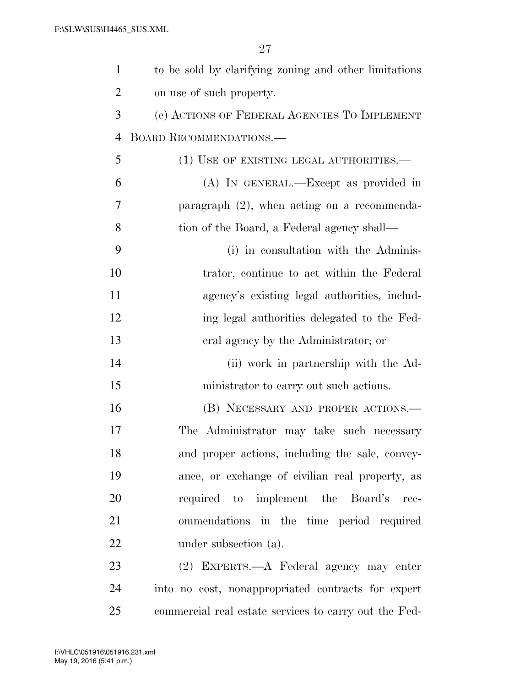| $\mathbf{1}$   | to be sold by clarifying zoning and other limitations |
|----------------|-------------------------------------------------------|
| $\overline{2}$ | on use of such property.                              |
| 3              | (c) ACTIONS OF FEDERAL AGENCIES TO IMPLEMENT          |
| $\overline{4}$ | <b>BOARD RECOMMENDATIONS.—</b>                        |
| 5              | (1) USE OF EXISTING LEGAL AUTHORITIES.—               |
| 6              | (A) IN GENERAL.—Except as provided in                 |
| 7              | paragraph $(2)$ , when acting on a recommenda-        |
| 8              | tion of the Board, a Federal agency shall—            |
| 9              | (i) in consultation with the Adminis-                 |
| 10             | trator, continue to act within the Federal            |
| 11             | agency's existing legal authorities, includ-          |
| 12             | ing legal authorities delegated to the Fed-           |
| 13             | eral agency by the Administrator; or                  |
| 14             | (ii) work in partnership with the Ad-                 |
| 15             | ministrator to carry out such actions.                |
| 16             | (B) NECESSARY AND PROPER ACTIONS.                     |
| 17             | The Administrator may take such necessary             |
| 18             | and proper actions, including the sale, convey-       |
| 19             | ance, or exchange of civilian real property, as       |
| 20             | required to implement the Board's<br>rec-             |
| 21             | ommendations in the time period required              |
| 22             | under subsection (a).                                 |
| 23             | (2) EXPERTS.—A Federal agency may enter               |
| 24             | into no cost, nonappropriated contracts for expert    |
| 25             | commercial real estate services to carry out the Fed- |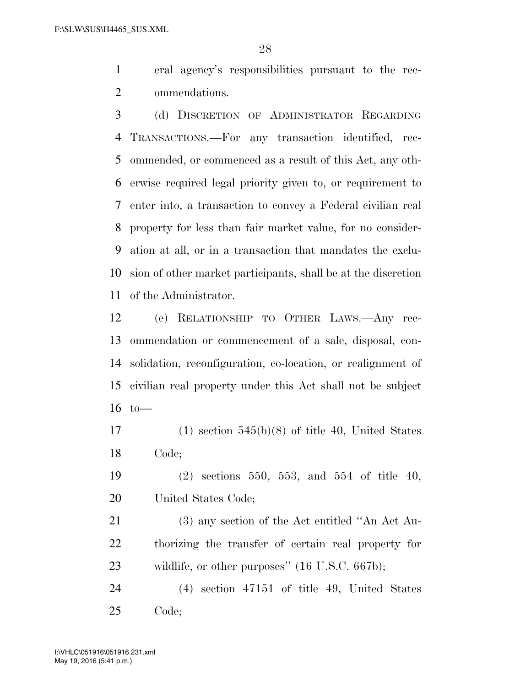eral agency's responsibilities pursuant to the rec-ommendations.

 (d) DISCRETION OF ADMINISTRATOR REGARDING TRANSACTIONS.—For any transaction identified, rec- ommended, or commenced as a result of this Act, any oth- erwise required legal priority given to, or requirement to enter into, a transaction to convey a Federal civilian real property for less than fair market value, for no consider- ation at all, or in a transaction that mandates the exclu- sion of other market participants, shall be at the discretion of the Administrator.

 (e) RELATIONSHIP TO OTHER LAWS.—Any rec- ommendation or commencement of a sale, disposal, con- solidation, reconfiguration, co-location, or realignment of civilian real property under this Act shall not be subject to—

17 (1) section  $545(b)(8)$  of title 40, United States Code;

 (2) sections 550, 553, and 554 of title 40, United States Code;

 (3) any section of the Act entitled ''An Act Au- thorizing the transfer of certain real property for wildlife, or other purposes'' (16 U.S.C. 667b);

 (4) section 47151 of title 49, United States Code;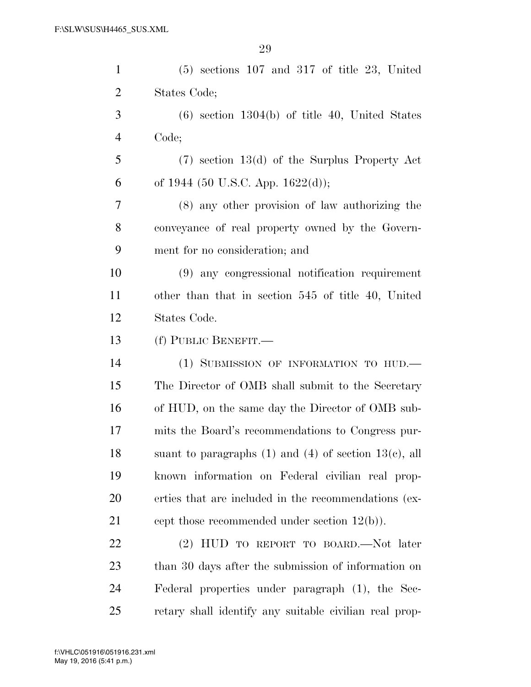| $\mathbf{1}$   | $(5)$ sections 107 and 317 of title 23, United               |
|----------------|--------------------------------------------------------------|
| $\overline{2}$ | States Code;                                                 |
| 3              | $(6)$ section 1304(b) of title 40, United States             |
| $\overline{4}$ | Code;                                                        |
| 5              | $(7)$ section 13(d) of the Surplus Property Act              |
| 6              | of 1944 (50 U.S.C. App. 1622(d));                            |
| 7              | (8) any other provision of law authorizing the               |
| 8              | conveyance of real property owned by the Govern-             |
| 9              | ment for no consideration; and                               |
| 10             | (9) any congressional notification requirement               |
| 11             | other than that in section 545 of title 40, United           |
| 12             | States Code.                                                 |
| 13             | (f) PUBLIC BENEFIT.-                                         |
| 14             | (1) SUBMISSION OF INFORMATION TO HUD.                        |
| 15             | The Director of OMB shall submit to the Secretary            |
| 16             | of HUD, on the same day the Director of OMB sub-             |
| 17             | mits the Board's recommendations to Congress pur-            |
| 18             | suant to paragraphs $(1)$ and $(4)$ of section $13(e)$ , all |
| 19             | known information on Federal civilian real prop-             |
| 20             | erties that are included in the recommendations (ex-         |
| 21             | cept those recommended under section $12(b)$ ).              |
| 22             | (2) HUD TO REPORT TO BOARD.—Not later                        |
| 23             | than 30 days after the submission of information on          |
| 24             | Federal properties under paragraph (1), the Sec-             |
| 25             | retary shall identify any suitable civilian real prop-       |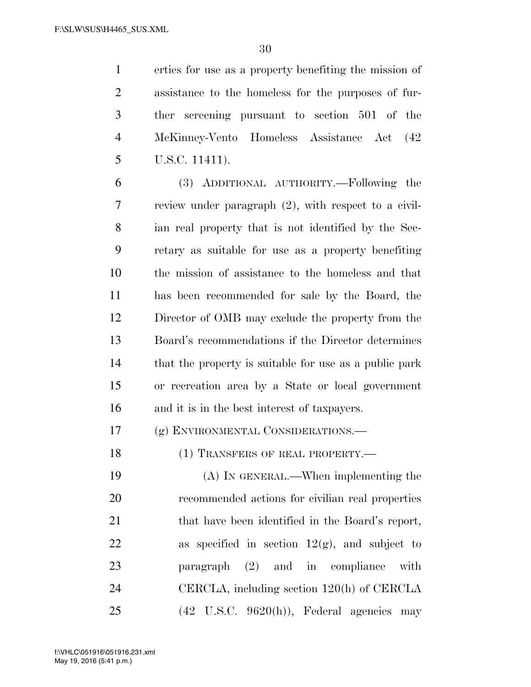erties for use as a property benefiting the mission of assistance to the homeless for the purposes of fur- ther screening pursuant to section 501 of the McKinney-Vento Homeless Assistance Act (42 U.S.C. 11411).

 (3) ADDITIONAL AUTHORITY.—Following the review under paragraph (2), with respect to a civil- ian real property that is not identified by the Sec- retary as suitable for use as a property benefiting the mission of assistance to the homeless and that has been recommended for sale by the Board, the Director of OMB may exclude the property from the Board's recommendations if the Director determines that the property is suitable for use as a public park or recreation area by a State or local government and it is in the best interest of taxpayers.

(g) ENVIRONMENTAL CONSIDERATIONS.—

18 (1) TRANSFERS OF REAL PROPERTY.—

 (A) IN GENERAL.—When implementing the recommended actions for civilian real properties 21 that have been identified in the Board's report, 22 as specified in section  $12(g)$ , and subject to paragraph (2) and in compliance with CERCLA, including section 120(h) of CERCLA (42 U.S.C. 9620(h)), Federal agencies may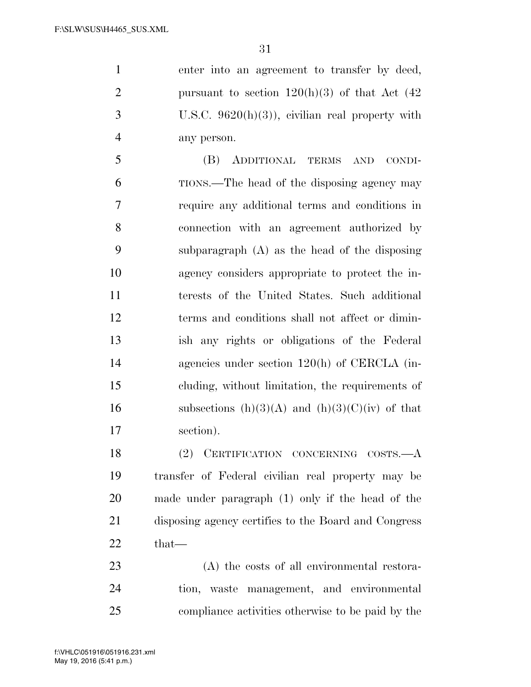enter into an agreement to transfer by deed, 2 pursuant to section  $120(h)(3)$  of that Act  $(42)$  U.S.C. 9620(h)(3)), civilian real property with any person.

 (B) ADDITIONAL TERMS AND CONDI- TIONS.—The head of the disposing agency may require any additional terms and conditions in connection with an agreement authorized by subparagraph (A) as the head of the disposing agency considers appropriate to protect the in- terests of the United States. Such additional terms and conditions shall not affect or dimin- ish any rights or obligations of the Federal agencies under section 120(h) of CERCLA (in- cluding, without limitation, the requirements of 16 subsections  $(h)(3)(A)$  and  $(h)(3)(C)(iv)$  of that section).

 (2) CERTIFICATION CONCERNING COSTS.—A transfer of Federal civilian real property may be made under paragraph (1) only if the head of the disposing agency certifies to the Board and Congress that—

 (A) the costs of all environmental restora- tion, waste management, and environmental compliance activities otherwise to be paid by the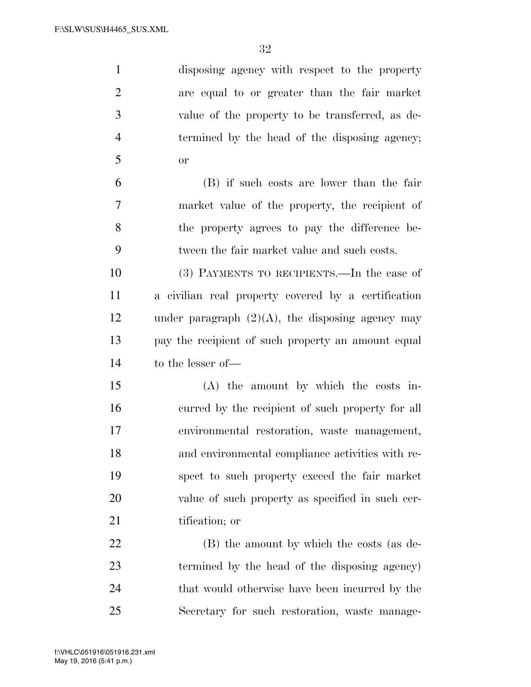| $\mathbf{1}$   | disposing agency with respect to the property       |
|----------------|-----------------------------------------------------|
| $\overline{2}$ | are equal to or greater than the fair market        |
| 3              | value of the property to be transferred, as de-     |
| $\overline{4}$ | termined by the head of the disposing agency;       |
| 5              | <b>or</b>                                           |
| 6              | (B) if such costs are lower than the fair           |
| $\overline{7}$ | market value of the property, the recipient of      |
| 8              | the property agrees to pay the difference be-       |
| 9              | tween the fair market value and such costs.         |
| 10             | (3) PAYMENTS TO RECIPIENTS.—In the case of          |
| 11             | a civilian real property covered by a certification |
| 12             | under paragraph $(2)(A)$ , the disposing agency may |
| 13             | pay the recipient of such property an amount equal  |
| 14             | to the lesser of-                                   |
| 15             | $(A)$ the amount by which the costs in-             |
| 16             | curred by the recipient of such property for all    |
| 17             | environmental restoration, waste management,        |
| 18             | and environmental compliance activities with re-    |
| 19             | spect to such property exceed the fair market       |
| 20             | value of such property as specified in such cer-    |
| 21             | tification; or                                      |
| 22             | (B) the amount by which the costs (as de-           |
| 23             | termined by the head of the disposing agency)       |
| 24             | that would otherwise have been incurred by the      |
| 25             | Secretary for such restoration, waste manage-       |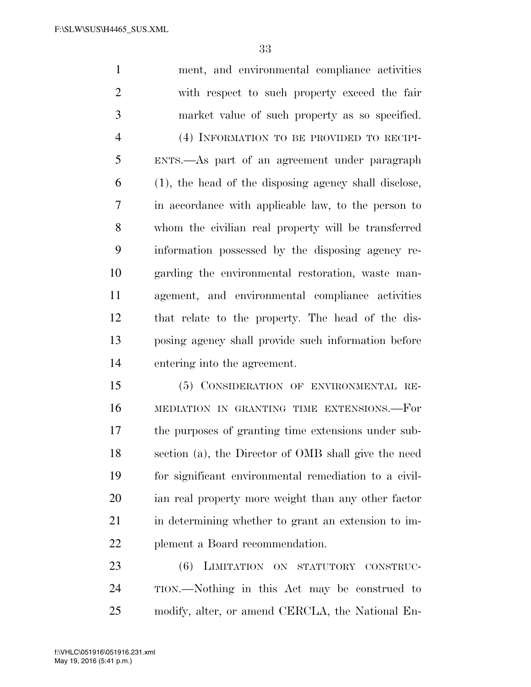ment, and environmental compliance activities with respect to such property exceed the fair market value of such property as so specified. (4) INFORMATION TO BE PROVIDED TO RECIPI- ENTS.—As part of an agreement under paragraph (1), the head of the disposing agency shall disclose, in accordance with applicable law, to the person to whom the civilian real property will be transferred information possessed by the disposing agency re- garding the environmental restoration, waste man- agement, and environmental compliance activities that relate to the property. The head of the dis- posing agency shall provide such information before entering into the agreement.

 (5) CONSIDERATION OF ENVIRONMENTAL RE- MEDIATION IN GRANTING TIME EXTENSIONS.—For the purposes of granting time extensions under sub- section (a), the Director of OMB shall give the need for significant environmental remediation to a civil- ian real property more weight than any other factor 21 in determining whether to grant an extension to im-plement a Board recommendation.

 (6) LIMITATION ON STATUTORY CONSTRUC- TION.—Nothing in this Act may be construed to modify, alter, or amend CERCLA, the National En-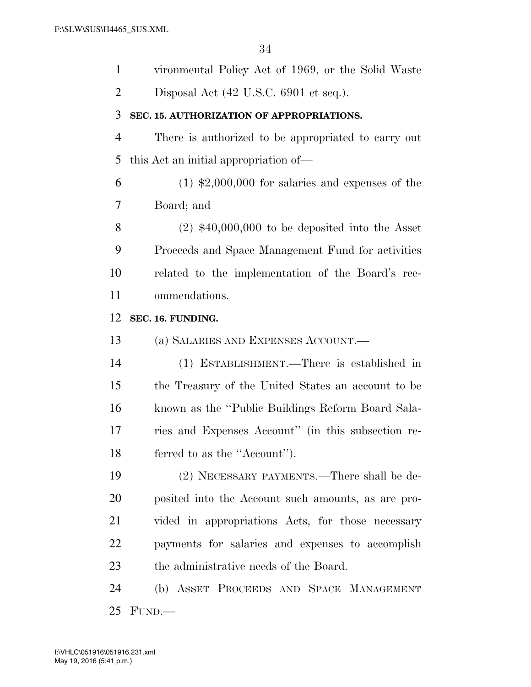| $\mathbf{1}$   | vironmental Policy Act of 1969, or the Solid Waste  |
|----------------|-----------------------------------------------------|
| $\overline{2}$ | Disposal Act (42 U.S.C. 6901 et seq.).              |
| 3              | SEC. 15. AUTHORIZATION OF APPROPRIATIONS.           |
| $\overline{4}$ | There is authorized to be appropriated to carry out |
| 5              | this Act an initial appropriation of—               |
| 6              | $(1)$ \$2,000,000 for salaries and expenses of the  |
| 7              | Board; and                                          |
| 8              | $(2)$ \$40,000,000 to be deposited into the Asset   |
| 9              | Proceeds and Space Management Fund for activities   |
| 10             | related to the implementation of the Board's rec-   |
| 11             | ommendations.                                       |
| 12             | SEC. 16. FUNDING.                                   |
| 13             | (a) SALARIES AND EXPENSES ACCOUNT.                  |
| 14             | (1) ESTABLISHMENT.—There is established in          |
| 15             | the Treasury of the United States an account to be  |
| 16             | known as the "Public Buildings Reform Board Sala-   |
| 17             | ries and Expenses Account" (in this subsection re-  |
| 18             | ferred to as the "Account".                         |
| 19             | (2) NECESSARY PAYMENTS.—There shall be de-          |
| 20             | posited into the Account such amounts, as are pro-  |
| 21             | vided in appropriations Acts, for those necessary   |
| 22             | payments for salaries and expenses to accomplish    |
| 23             | the administrative needs of the Board.              |
| 24             | (b) ASSET PROCEEDS AND SPACE MANAGEMENT             |
| 25             | FUND.                                               |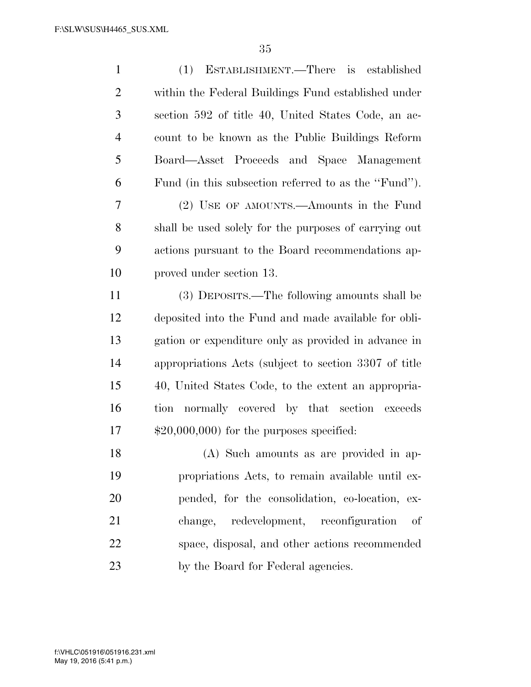| $\mathbf{1}$   | ESTABLISHMENT.—There is established<br>(1)            |
|----------------|-------------------------------------------------------|
| $\overline{2}$ | within the Federal Buildings Fund established under   |
| 3              | section 592 of title 40, United States Code, an ac-   |
| $\overline{4}$ | count to be known as the Public Buildings Reform      |
| 5              | Board—Asset Proceeds and Space Management             |
| 6              | Fund (in this subsection referred to as the "Fund").  |
| 7              | (2) USE OF AMOUNTS.—Amounts in the Fund               |
| 8              | shall be used solely for the purposes of carrying out |
| 9              | actions pursuant to the Board recommendations ap-     |
| 10             | proved under section 13.                              |
| 11             | (3) DEPOSITS.—The following amounts shall be          |
| 12             | deposited into the Fund and made available for obli-  |
| 13             | gation or expenditure only as provided in advance in  |
| 14             | appropriations Acts (subject to section 3307 of title |
| 15             | 40, United States Code, to the extent an appropria-   |
| 16             | normally covered by that section exceeds<br>tion      |
| 17             | $$20,000,000$ for the purposes specified:             |
| 18             | (A) Such amounts as are provided in ap-               |
| 19             | propriations Acts, to remain available until ex-      |
| 20             | pended, for the consolidation, co-location, ex-       |
| 21             | redevelopment, reconfiguration<br>change,<br>οf       |
| 22             | space, disposal, and other actions recommended        |
| 23             | by the Board for Federal agencies.                    |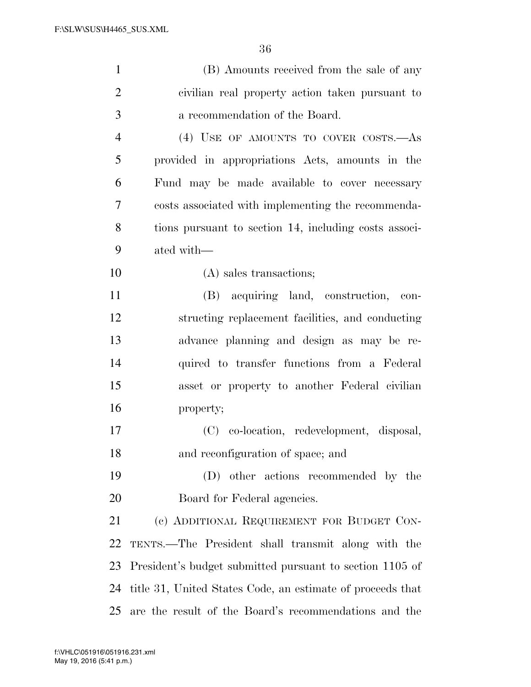| $\mathbf{1}$   | (B) Amounts received from the sale of any                  |
|----------------|------------------------------------------------------------|
| $\overline{2}$ | civilian real property action taken pursuant to            |
| 3              | a recommendation of the Board.                             |
| $\overline{4}$ | (4) USE OF AMOUNTS TO COVER COSTS.—As                      |
| 5              | provided in appropriations Acts, amounts in the            |
| 6              | Fund may be made available to cover necessary              |
| 7              | costs associated with implementing the recommenda-         |
| 8              | tions pursuant to section 14, including costs associ-      |
| 9              | ated with—                                                 |
| 10             | (A) sales transactions;                                    |
| 11             | (B) acquiring land, construction, con-                     |
| 12             | structing replacement facilities, and conducting           |
| 13             | advance planning and design as may be re-                  |
| 14             | quired to transfer functions from a Federal                |
| 15             | asset or property to another Federal civilian              |
| 16             | property;                                                  |
| 17             | (C) co-location, redevelopment, disposal,                  |
| 18             | and reconfiguration of space; and                          |
| 19             | (D) other actions recommended by the                       |
| 20             | Board for Federal agencies.                                |
| 21             | (c) ADDITIONAL REQUIREMENT FOR BUDGET CON-                 |
| 22             | TENTS.—The President shall transmit along with the         |
| 23             | President's budget submitted pursuant to section 1105 of   |
| 24             | title 31, United States Code, an estimate of proceeds that |
| 25             | are the result of the Board's recommendations and the      |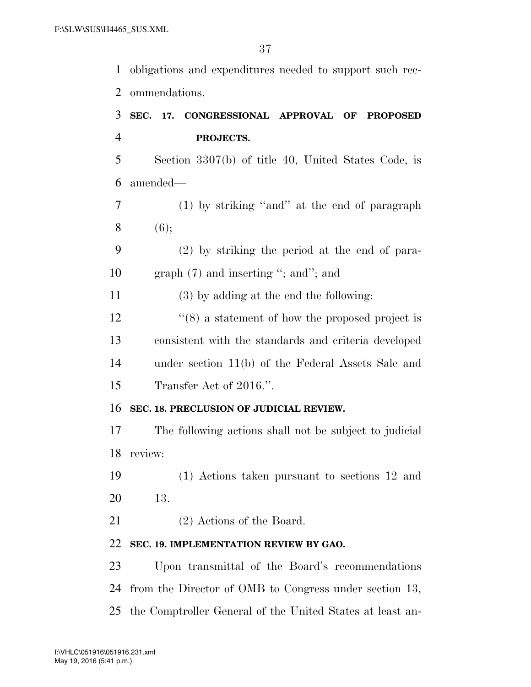obligations and expenditures needed to support such rec- ommendations. **SEC. 17. CONGRESSIONAL APPROVAL OF PROPOSED PROJECTS.**  Section 3307(b) of title 40, United States Code, is amended— (1) by striking ''and'' at the end of paragraph  $8 \t(6)$ ; (2) by striking the period at the end of para-10 graph (7) and inserting "; and"; and (3) by adding at the end the following: 12 ''(8) a statement of how the proposed project is consistent with the standards and criteria developed under section 11(b) of the Federal Assets Sale and Transfer Act of 2016.''. **SEC. 18. PRECLUSION OF JUDICIAL REVIEW.**  The following actions shall not be subject to judicial review: (1) Actions taken pursuant to sections 12 and 13. 21 (2) Actions of the Board. **SEC. 19. IMPLEMENTATION REVIEW BY GAO.**  Upon transmittal of the Board's recommendations from the Director of OMB to Congress under section 13, the Comptroller General of the United States at least an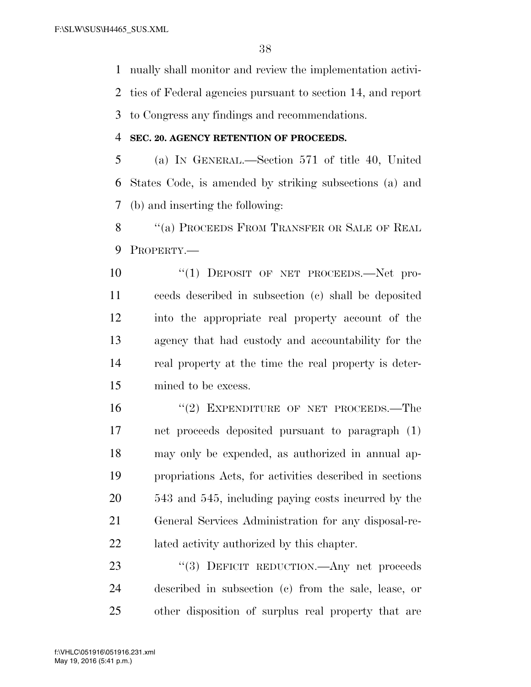nually shall monitor and review the implementation activi-

ties of Federal agencies pursuant to section 14, and report

to Congress any findings and recommendations.

# **SEC. 20. AGENCY RETENTION OF PROCEEDS.**

 (a) IN GENERAL.—Section 571 of title 40, United States Code, is amended by striking subsections (a) and (b) and inserting the following:

8 "(a) PROCEEDS FROM TRANSFER OR SALE OF REAL PROPERTY.—

 $\frac{10}{10}$  DEPOSIT OF NET PROCEEDS. Net pro- ceeds described in subsection (c) shall be deposited into the appropriate real property account of the agency that had custody and accountability for the real property at the time the real property is deter-mined to be excess.

16 "(2) EXPENDITURE OF NET PROCEEDS.—The net proceeds deposited pursuant to paragraph (1) may only be expended, as authorized in annual ap- propriations Acts, for activities described in sections 543 and 545, including paying costs incurred by the General Services Administration for any disposal-re-lated activity authorized by this chapter.

23 "(3) DEFICIT REDUCTION.—Any net proceeds described in subsection (c) from the sale, lease, or other disposition of surplus real property that are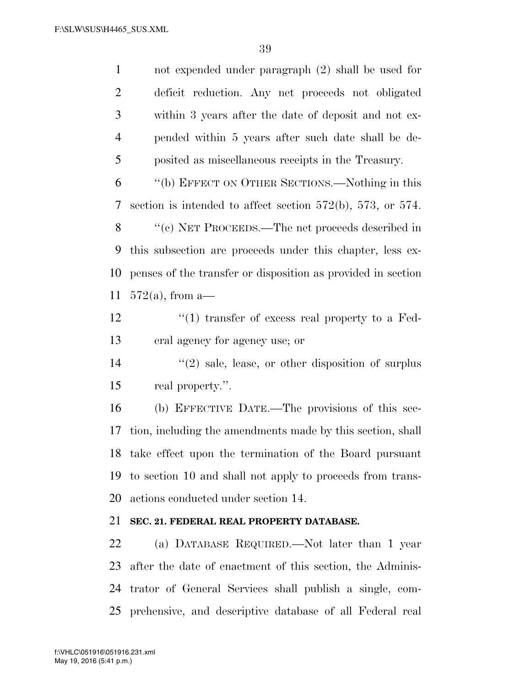| $\mathbf{1}$   | not expended under paragraph $(2)$ shall be used for                |
|----------------|---------------------------------------------------------------------|
| $\overline{2}$ | deficit reduction. Any net proceeds not obligated                   |
| 3              | within 3 years after the date of deposit and not ex-                |
| $\overline{4}$ | pended within 5 years after such date shall be de-                  |
| 5              | posited as miscellaneous receipts in the Treasury.                  |
| 6              | "(b) EFFECT ON OTHER SECTIONS.—Nothing in this                      |
| 7              | section is intended to affect section $572(b)$ , $573$ , or $574$ . |
| 8              | "(c) NET PROCEEDS.—The net proceeds described in                    |
| 9              | this subsection are proceeds under this chapter, less ex-           |
| 10             | penses of the transfer or disposition as provided in section        |
| 11             | $572(a)$ , from a-                                                  |
| 12             | $\lq(1)$ transfer of excess real property to a Fed-                 |
| 13             | eral agency for agency use; or                                      |
| 14             | $\lq(2)$ sale, lease, or other disposition of surplus               |
| 15             | real property.".                                                    |
| 16             | (b) EFFECTIVE DATE.—The provisions of this sec-                     |
| 17             | tion, including the amendments made by this section, shall          |
|                | 18 take effect upon the termination of the Board pursuant           |
| 19             | to section 10 and shall not apply to proceeds from trans-           |
| 20             | actions conducted under section 14.                                 |
| 21             | SEC. 21. FEDERAL REAL PROPERTY DATABASE.                            |
| 22             | (a) DATABASE REQUIRED.—Not later than 1 year                        |
| 23             | after the date of enactment of this section, the Adminis-           |
| 24             | trator of General Services shall publish a single, com-             |
| 25             | prehensive, and descriptive database of all Federal real            |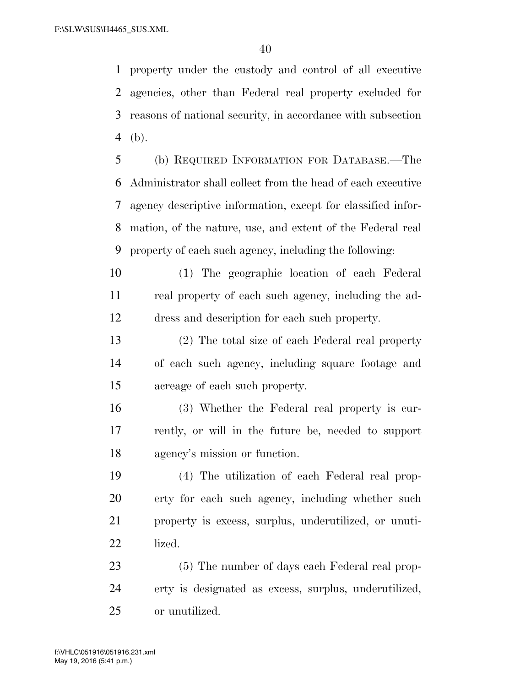property under the custody and control of all executive agencies, other than Federal real property excluded for reasons of national security, in accordance with subsection (b).

 (b) REQUIRED INFORMATION FOR DATABASE.—The Administrator shall collect from the head of each executive agency descriptive information, except for classified infor- mation, of the nature, use, and extent of the Federal real property of each such agency, including the following:

- (1) The geographic location of each Federal real property of each such agency, including the ad-dress and description for each such property.
- (2) The total size of each Federal real property of each such agency, including square footage and acreage of each such property.
- (3) Whether the Federal real property is cur- rently, or will in the future be, needed to support agency's mission or function.

 (4) The utilization of each Federal real prop- erty for each such agency, including whether such property is excess, surplus, underutilized, or unuti-lized.

 (5) The number of days each Federal real prop- erty is designated as excess, surplus, underutilized, or unutilized.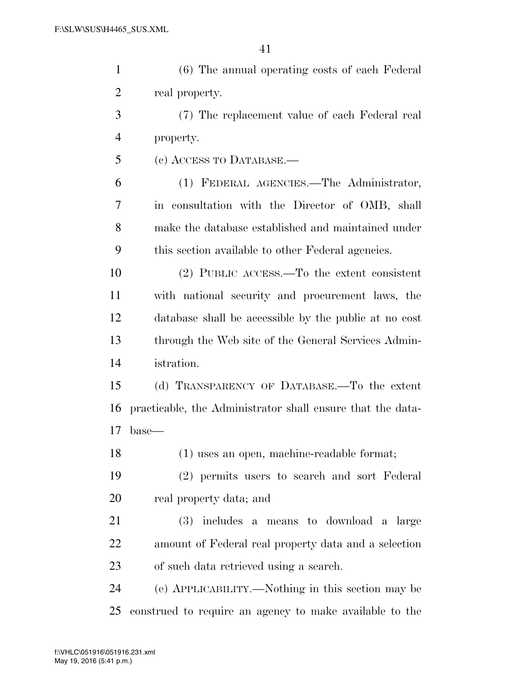| $\mathbf{1}$   | (6) The annual operating costs of each Federal             |
|----------------|------------------------------------------------------------|
| $\overline{2}$ | real property.                                             |
| 3              | (7) The replacement value of each Federal real             |
| 4              | property.                                                  |
| 5              | (c) ACCESS TO DATABASE.—                                   |
| 6              | (1) FEDERAL AGENCIES.—The Administrator,                   |
| 7              | in consultation with the Director of OMB, shall            |
| 8              | make the database established and maintained under         |
| 9              | this section available to other Federal agencies.          |
| 10             | $(2)$ PUBLIC ACCESS.—To the extent consistent              |
| 11             | with national security and procurement laws, the           |
| 12             | database shall be accessible by the public at no cost      |
| 13             | through the Web site of the General Services Admin-        |
| 14             | istration.                                                 |
| 15             | (d) TRANSPARENCY OF DATABASE.—To the extent                |
| 16             | practicable, the Administrator shall ensure that the data- |
| 17             | base—                                                      |
| 18             | (1) uses an open, machine-readable format;                 |
| 19             | (2) permits users to search and sort Federal               |
| 20             | real property data; and                                    |
| 21             | (3) includes a means to download a large                   |
| 22             | amount of Federal real property data and a selection       |
| 23             | of such data retrieved using a search.                     |
| 24             | (e) APPLICABILITY.—Nothing in this section may be          |
| 25             | construed to require an agency to make available to the    |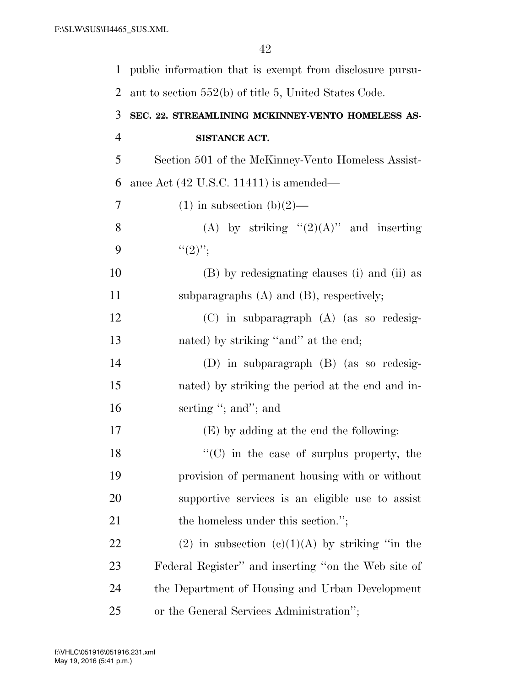| $\mathbf 1$    | public information that is exempt from disclosure pursu- |
|----------------|----------------------------------------------------------|
| 2              | ant to section 552(b) of title 5, United States Code.    |
| 3              | SEC. 22. STREAMLINING MCKINNEY-VENTO HOMELESS AS-        |
| $\overline{4}$ | SISTANCE ACT.                                            |
| 5              | Section 501 of the McKinney-Vento Homeless Assist-       |
| 6              | ance Act $(42 \text{ U.S.C. } 11411)$ is amended—        |
| 7              | $(1)$ in subsection $(b)(2)$ —                           |
| 8              | (A) by striking " $(2)(A)$ " and inserting               |
| 9              | $``(2)$ ";                                               |
| 10             | (B) by redesignating clauses (i) and (ii) as             |
| 11             | subparagraphs $(A)$ and $(B)$ , respectively;            |
| 12             | $(C)$ in subparagraph $(A)$ (as so redesig-              |
| 13             | nated) by striking "and" at the end;                     |
| 14             | $(D)$ in subparagraph $(B)$ (as so redesig-              |
| 15             | nated) by striking the period at the end and in-         |
| 16             | serting "; and"; and                                     |
| 17             | (E) by adding at the end the following:                  |
| 18             | $\lq\lq$ (C) in the case of surplus property, the        |
| 19             | provision of permanent housing with or without           |
| 20             | supportive services is an eligible use to assist         |
| 21             | the homeless under this section.";                       |
| 22             | (2) in subsection (e)(1)(A) by striking "in the          |
| 23             | Federal Register" and inserting "on the Web site of      |
| 24             | the Department of Housing and Urban Development          |
| 25             | or the General Services Administration";                 |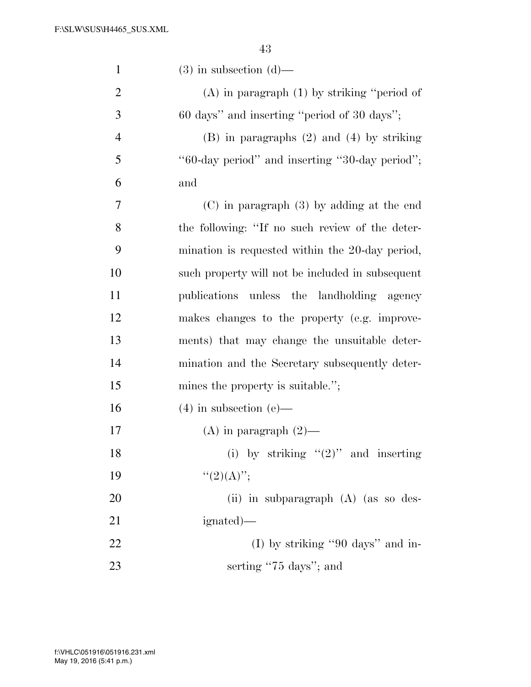| $\mathbf{1}$   | $(3)$ in subsection $(d)$ —                      |
|----------------|--------------------------------------------------|
| $\overline{2}$ | $(A)$ in paragraph $(1)$ by striking "period of  |
| 3              | 60 days" and inserting "period of 30 days";      |
| $\overline{4}$ | $(B)$ in paragraphs $(2)$ and $(4)$ by striking  |
| 5              | "60-day period" and inserting "30-day period";   |
| 6              | and                                              |
| 7              | $(C)$ in paragraph $(3)$ by adding at the end    |
| $8\,$          | the following: "If no such review of the deter-  |
| 9              | mination is requested within the 20-day period,  |
| 10             | such property will not be included in subsequent |
| 11             | publications unless the landholding agency       |
| 12             | makes changes to the property (e.g. improve-     |
| 13             | ments) that may change the unsuitable deter-     |
| 14             | mination and the Secretary subsequently deter-   |
| 15             | mines the property is suitable.";                |
| 16             | $(4)$ in subsection $(e)$ —                      |
| 17             | $(A)$ in paragraph $(2)$ —                       |
| 18             | (i) by striking " $(2)$ " and inserting          |
| 19             | ``(2)(A)";                                       |
| 20             | (ii) in subparagraph (A) (as so des-             |
| 21             | ignated)—                                        |
| 22             | (I) by striking "90 days" and in-                |
| 23             | serting "75 days"; and                           |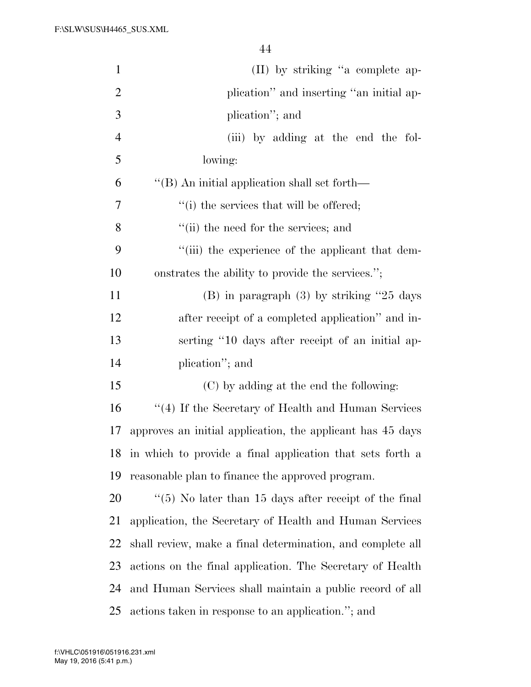| $\mathbf{1}$   | (II) by striking "a complete ap-                           |
|----------------|------------------------------------------------------------|
| $\overline{2}$ | plication" and inserting "an initial ap-                   |
| 3              | plication"; and                                            |
| $\overline{4}$ | (iii) by adding at the end the fol-                        |
| 5              | lowing:                                                    |
| 6              | $\lq\lq$ (B) An initial application shall set forth—       |
| 7              | "(i) the services that will be offered;                    |
| 8              | "(ii) the need for the services; and                       |
| 9              | "(iii) the experience of the applicant that dem-           |
| 10             | onstrates the ability to provide the services.";           |
| 11             | $(B)$ in paragraph $(3)$ by striking "25 days"             |
| 12             | after receipt of a completed application" and in-          |
| 13             | serting "10 days after receipt of an initial ap-           |
| 14             | plication"; and                                            |
| 15             | (C) by adding at the end the following:                    |
| 16             | "(4) If the Secretary of Health and Human Services         |
| 17             | approves an initial application, the applicant has 45 days |
| 18             | in which to provide a final application that sets forth a  |
| 19             | reasonable plan to finance the approved program.           |
| 20             | $\lq(5)$ No later than 15 days after receipt of the final  |
| 21             | application, the Secretary of Health and Human Services    |
| 22             | shall review, make a final determination, and complete all |
| 23             | actions on the final application. The Secretary of Health  |
| 24             | and Human Services shall maintain a public record of all   |
| 25             | actions taken in response to an application."; and         |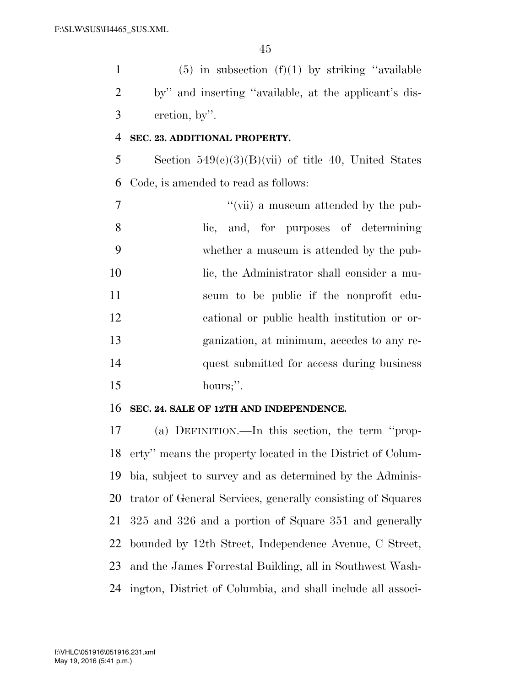1 (5) in subsection  $(f)(1)$  by striking "available by'' and inserting ''available, at the applicant's dis-cretion, by''.

# **SEC. 23. ADDITIONAL PROPERTY.**

5 Section  $549(e)(3)(B)(\overline{\text{vii}})$  of title 40, United States Code, is amended to read as follows:

 $''(\text{vii})$  a museum attended by the pub- lic, and, for purposes of determining whether a museum is attended by the pub-10 lic, the Administrator shall consider a mu- seum to be public if the nonprofit edu- cational or public health institution or or- ganization, at minimum, accedes to any re- quest submitted for access during business hours;''.

# **SEC. 24. SALE OF 12TH AND INDEPENDENCE.**

 (a) DEFINITION.—In this section, the term ''prop- erty'' means the property located in the District of Colum- bia, subject to survey and as determined by the Adminis- trator of General Services, generally consisting of Squares 325 and 326 and a portion of Square 351 and generally bounded by 12th Street, Independence Avenue, C Street, and the James Forrestal Building, all in Southwest Wash-ington, District of Columbia, and shall include all associ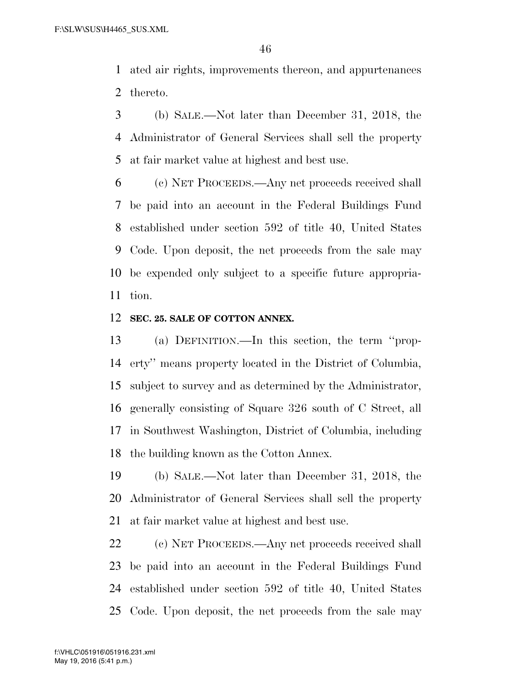ated air rights, improvements thereon, and appurtenances thereto.

 (b) SALE.—Not later than December 31, 2018, the Administrator of General Services shall sell the property at fair market value at highest and best use.

 (c) NET PROCEEDS.—Any net proceeds received shall be paid into an account in the Federal Buildings Fund established under section 592 of title 40, United States Code. Upon deposit, the net proceeds from the sale may be expended only subject to a specific future appropria-tion.

#### **SEC. 25. SALE OF COTTON ANNEX.**

 (a) DEFINITION.—In this section, the term ''prop- erty'' means property located in the District of Columbia, subject to survey and as determined by the Administrator, generally consisting of Square 326 south of C Street, all in Southwest Washington, District of Columbia, including the building known as the Cotton Annex.

 (b) SALE.—Not later than December 31, 2018, the Administrator of General Services shall sell the property at fair market value at highest and best use.

 (c) NET PROCEEDS.—Any net proceeds received shall be paid into an account in the Federal Buildings Fund established under section 592 of title 40, United States Code. Upon deposit, the net proceeds from the sale may

May 19, 2016 (5:41 p.m.) f:\VHLC\051916\051916.231.xml